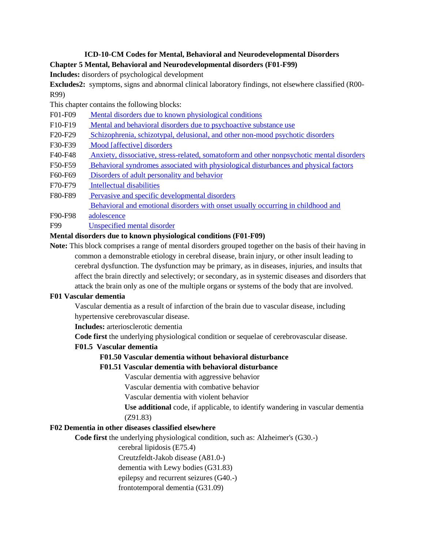# **ICD-10-CM Codes for Mental, Behavioral and Neurodevelopmental Disorders Chapter 5 Mental, Behavioral and Neurodevelopmental disorders (F01-F99)**

**Includes:** disorders of psychological development

**Excludes2:** symptoms, signs and abnormal clinical laboratory findings, not elsewhere classified (R00- R99)

This chapter contains the following blocks:

- F01-F09 Mental disorders due to known physiological conditions
- F10-F19 [Mental and behavioral disorders due to psychoactive substance use](#page-3-0)
- F20-F29 [Schizophrenia, schizotypal, delusional, and other non-mood psychotic disorders](#page-23-0)
- F30-F39 [Mood \[affective\] disorders](#page-25-0)
- F40-F48 [Anxiety, dissociative, stress-related, somatoform and other nonpsychotic mental disorders](#page-28-0)
- F50-F59 [Behavioral syndromes associated with physiological disturbances and physical factors](#page-33-0)
- F60-F69 [Disorders of adult personality and behavior](#page-36-0)
- F70-F79 [Intellectual disabilities](#page-39-0)
- F80-F89 [Pervasive and specific developmental disorders](#page-39-0)

Behavioral and emotional disorders with onset usually occurring in childhood and

- F90-F98 adolescence
- F99 Unspecified mental disorder

## **Mental disorders due to known physiological conditions (F01-F09)**

**Note:** This block comprises a range of mental disorders grouped together on the basis of their having in common a demonstrable etiology in cerebral disease, brain injury, or other insult leading to cerebral dysfunction. The dysfunction may be primary, as in diseases, injuries, and insults that affect the brain directly and selectively; or secondary, as in systemic diseases and disorders that attack the brain only as one of the multiple organs or systems of the body that are involved.

### **F01 Vascular dementia**

Vascular dementia as a result of infarction of the brain due to vascular disease, including hypertensive cerebrovascular disease.

**Includes:** arteriosclerotic dementia

**Code first** the underlying physiological condition or sequelae of cerebrovascular disease.

# **F01.5 Vascular dementia**

# **F01.50 Vascular dementia without behavioral disturbance**

### **F01.51 Vascular dementia with behavioral disturbance**

Vascular dementia with aggressive behavior

Vascular dementia with combative behavior

Vascular dementia with violent behavior

**Use additional** code, if applicable, to identify wandering in vascular dementia (Z91.83)

# **F02 Dementia in other diseases classified elsewhere**

**Code first** the underlying physiological condition, such as: Alzheimer's (G30.-)

cerebral lipidosis (E75.4)

Creutzfeldt-Jakob disease (A81.0-)

dementia with Lewy bodies (G31.83)

epilepsy and recurrent seizures (G40.-)

frontotemporal dementia (G31.09)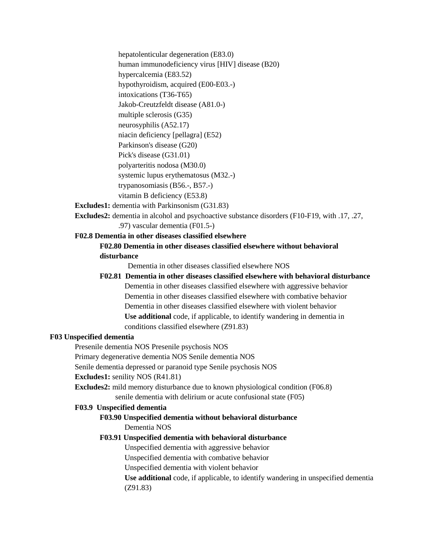hepatolenticular degeneration (E83.0) human immunodeficiency virus [HIV] disease (B20) hypercalcemia (E83.52) hypothyroidism, acquired (E00-E03.-) intoxications (T36-T65) Jakob-Creutzfeldt disease (A81.0-) multiple sclerosis (G35)

neurosyphilis (A52.17)

niacin deficiency [pellagra] (E52)

Parkinson's disease (G20)

Pick's disease (G31.01) polyarteritis nodosa (M30.0)

systemic lupus erythematosus (M32.-)

trypanosomiasis (B56.-, B57.-)

vitamin B deficiency (E53.8)

**Excludes1:** dementia with Parkinsonism (G31.83)

**Excludes2:** dementia in alcohol and psychoactive substance disorders (F10-F19, with .17, .27, .97) vascular dementia (F01.5-)

# **F02.8 Dementia in other diseases classified elsewhere**

# **F02.80 Dementia in other diseases classified elsewhere without behavioral disturbance**

Dementia in other diseases classified elsewhere NOS

**F02.81 Dementia in other diseases classified elsewhere with behavioral disturbance** Dementia in other diseases classified elsewhere with aggressive behavior Dementia in other diseases classified elsewhere with combative behavior Dementia in other diseases classified elsewhere with violent behavior **Use additional** code, if applicable, to identify wandering in dementia in conditions classified elsewhere (Z91.83)

# **F03 Unspecified dementia**

Presenile dementia NOS Presenile psychosis NOS

Primary degenerative dementia NOS Senile dementia NOS

Senile dementia depressed or paranoid type Senile psychosis NOS

# **Excludes1:** senility NOS (R41.81)

**Excludes2:** mild memory disturbance due to known physiological condition (F06.8) senile dementia with delirium or acute confusional state (F05)

# **F03.9 Unspecified dementia**

# **F03.90 Unspecified dementia without behavioral disturbance** Dementia NOS

# **F03.91 Unspecified dementia with behavioral disturbance**

Unspecified dementia with aggressive behavior

Unspecified dementia with combative behavior

Unspecified dementia with violent behavior

**Use additional** code, if applicable, to identify wandering in unspecified dementia (Z91.83)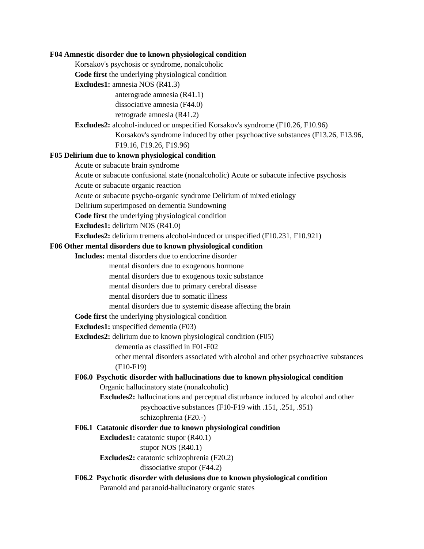#### **F04 Amnestic disorder due to known physiological condition**

Korsakov's psychosis or syndrome, nonalcoholic

**Code first** the underlying physiological condition

**Excludes1:** amnesia NOS (R41.3)

anterograde amnesia (R41.1)

dissociative amnesia (F44.0)

retrograde amnesia (R41.2)

**Excludes2:** alcohol-induced or unspecified Korsakov's syndrome (F10.26, F10.96)

Korsakov's syndrome induced by other psychoactive substances (F13.26, F13.96, F19.16, F19.26, F19.96)

#### **F05 Delirium due to known physiological condition**

Acute or subacute brain syndrome

Acute or subacute confusional state (nonalcoholic) Acute or subacute infective psychosis

Acute or subacute organic reaction

Acute or subacute psycho-organic syndrome Delirium of mixed etiology

Delirium superimposed on dementia Sundowning

**Code first** the underlying physiological condition

**Excludes1:** delirium NOS (R41.0)

**Excludes2:** delirium tremens alcohol-induced or unspecified (F10.231, F10.921)

#### **F06 Other mental disorders due to known physiological condition**

**Includes:** mental disorders due to endocrine disorder

mental disorders due to exogenous hormone

mental disorders due to exogenous toxic substance

mental disorders due to primary cerebral disease

mental disorders due to somatic illness

mental disorders due to systemic disease affecting the brain

**Code first** the underlying physiological condition

**Excludes1:** unspecified dementia (F03)

**Excludes2:** delirium due to known physiological condition (F05)

dementia as classified in F01-F02

other mental disorders associated with alcohol and other psychoactive substances (F10-F19)

# **F06.0 Psychotic disorder with hallucinations due to known physiological condition** Organic hallucinatory state (nonalcoholic)

**Excludes2:** hallucinations and perceptual disturbance induced by alcohol and other psychoactive substances (F10-F19 with .151, .251, .951)

schizophrenia (F20.-)

#### **F06.1 Catatonic disorder due to known physiological condition**

**Excludes1:** catatonic stupor (R40.1)

#### stupor NOS (R40.1)

**Excludes2:** catatonic schizophrenia (F20.2)

dissociative stupor (F44.2)

# **F06.2 Psychotic disorder with delusions due to known physiological condition**

Paranoid and paranoid-hallucinatory organic states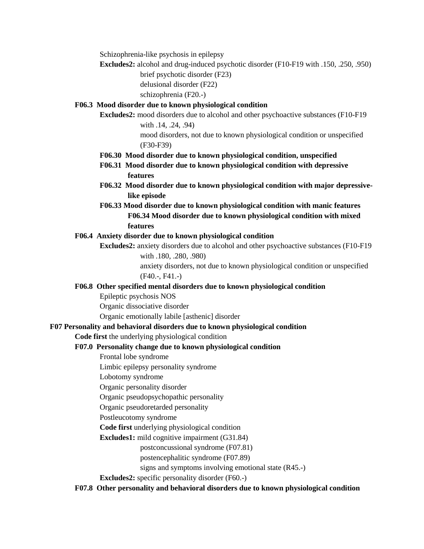Schizophrenia-like psychosis in epilepsy

**Excludes2:** alcohol and drug-induced psychotic disorder (F10-F19 with .150, .250, .950)

brief psychotic disorder (F23)

delusional disorder (F22)

schizophrenia (F20.-)

# **F06.3 Mood disorder due to known physiological condition**

**Excludes2:** mood disorders due to alcohol and other psychoactive substances (F10-F19 with .14, .24, .94)

> mood disorders, not due to known physiological condition or unspecified (F30-F39)

- **F06.30 Mood disorder due to known physiological condition, unspecified**
- **F06.31 Mood disorder due to known physiological condition with depressive features**
- **F06.32 Mood disorder due to known physiological condition with major depressivelike episode**
- **F06.33 Mood disorder due to known physiological condition with manic features F06.34 Mood disorder due to known physiological condition with mixed features**

# <span id="page-3-0"></span>**F06.4 Anxiety disorder due to known physiological condition**

**Excludes2:** anxiety disorders due to alcohol and other psychoactive substances (F10-F19 with .180, .280, .980)

> anxiety disorders, not due to known physiological condition or unspecified (F40.-, F41.-)

# **F06.8 Other specified mental disorders due to known physiological condition**

Epileptic psychosis NOS

Organic dissociative disorder

Organic emotionally labile [asthenic] disorder

# **F07 Personality and behavioral disorders due to known physiological condition**

**Code first** the underlying physiological condition

# **F07.0 Personality change due to known physiological condition**

Frontal lobe syndrome

Limbic epilepsy personality syndrome

Lobotomy syndrome

Organic personality disorder

Organic pseudopsychopathic personality

Organic pseudoretarded personality

Postleucotomy syndrome

**Code first** underlying physiological condition

**Excludes1:** mild cognitive impairment (G31.84)

postconcussional syndrome (F07.81)

postencephalitic syndrome (F07.89)

signs and symptoms involving emotional state (R45.-)

**Excludes2:** specific personality disorder (F60.-)

**F07.8 Other personality and behavioral disorders due to known physiological condition**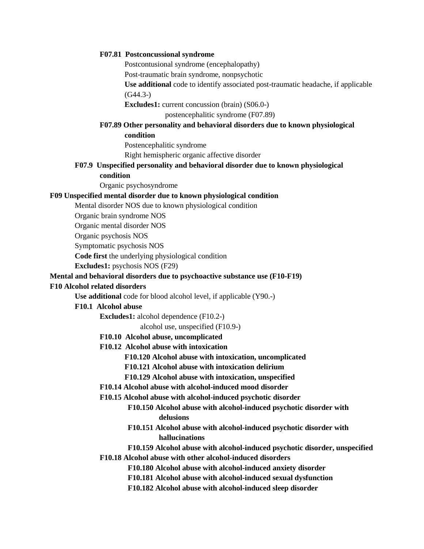#### **F07.81 Postconcussional syndrome**

Postcontusional syndrome (encephalopathy)

Post-traumatic brain syndrome, nonpsychotic

**Use additional** code to identify associated post-traumatic headache, if applicable (G44.3-)

**Excludes1:** current concussion (brain) (S06.0-)

postencephalitic syndrome (F07.89)

# **F07.89 Other personality and behavioral disorders due to known physiological**

**condition**

Postencephalitic syndrome Right hemispheric organic affective disorder

## **F07.9 Unspecified personality and behavioral disorder due to known physiological condition**

Organic psychosyndrome

#### **F09 Unspecified mental disorder due to known physiological condition**

Mental disorder NOS due to known physiological condition

Organic brain syndrome NOS

Organic mental disorder NOS

Organic psychosis NOS

Symptomatic psychosis NOS

**Code first** the underlying physiological condition

**Excludes1:** psychosis NOS (F29)

#### **Mental and behavioral disorders due to psychoactive substance use (F10-F19)**

#### **F10 Alcohol related disorders**

**Use additional** code for blood alcohol level, if applicable (Y90.-)

### **F10.1 Alcohol abuse**

**Excludes1:** alcohol dependence (F10.2-)

alcohol use, unspecified (F10.9-)

### **F10.10 Alcohol abuse, uncomplicated**

**F10.12 Alcohol abuse with intoxication**

**F10.120 Alcohol abuse with intoxication, uncomplicated**

**F10.121 Alcohol abuse with intoxication delirium**

**F10.129 Alcohol abuse with intoxication, unspecified**

**F10.14 Alcohol abuse with alcohol-induced mood disorder**

**F10.15 Alcohol abuse with alcohol-induced psychotic disorder**

- **F10.150 Alcohol abuse with alcohol-induced psychotic disorder with delusions**
- **F10.151 Alcohol abuse with alcohol-induced psychotic disorder with hallucinations**

**F10.159 Alcohol abuse with alcohol-induced psychotic disorder, unspecified**

**F10.18 Alcohol abuse with other alcohol-induced disorders**

**F10.180 Alcohol abuse with alcohol-induced anxiety disorder**

- **F10.181 Alcohol abuse with alcohol-induced sexual dysfunction**
- **F10.182 Alcohol abuse with alcohol-induced sleep disorder**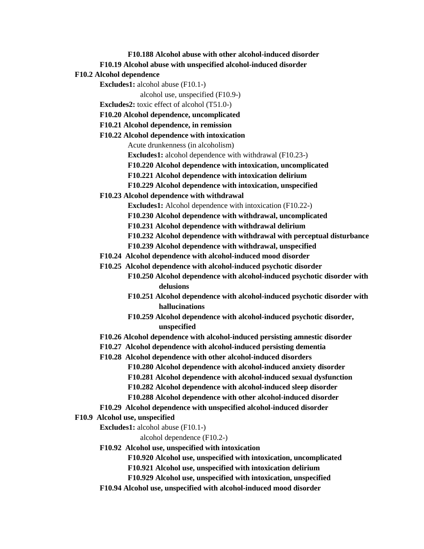**F10.188 Alcohol abuse with other alcohol-induced disorder**

**F10.19 Alcohol abuse with unspecified alcohol-induced disorder**

**F10.2 Alcohol dependence**

**Excludes1:** alcohol abuse (F10.1-)

alcohol use, unspecified (F10.9-)

**Excludes2:** toxic effect of alcohol (T51.0-)

**F10.20 Alcohol dependence, uncomplicated**

**F10.21 Alcohol dependence, in remission**

**F10.22 Alcohol dependence with intoxication** Acute drunkenness (in alcoholism) **Excludes1:** alcohol dependence with withdrawal (F10.23-) **F10.220 Alcohol dependence with intoxication, uncomplicated F10.221 Alcohol dependence with intoxication delirium**

**F10.229 Alcohol dependence with intoxication, unspecified**

**F10.23 Alcohol dependence with withdrawal**

**Excludes1:** Alcohol dependence with intoxication (F10.22-) **F10.230 Alcohol dependence with withdrawal, uncomplicated F10.231 Alcohol dependence with withdrawal delirium F10.232 Alcohol dependence with withdrawal with perceptual disturbance F10.239 Alcohol dependence with withdrawal, unspecified**

**F10.24 Alcohol dependence with alcohol-induced mood disorder**

**F10.25 Alcohol dependence with alcohol-induced psychotic disorder**

**F10.250 Alcohol dependence with alcohol-induced psychotic disorder with delusions**

- **F10.251 Alcohol dependence with alcohol-induced psychotic disorder with hallucinations**
- **F10.259 Alcohol dependence with alcohol-induced psychotic disorder, unspecified**

**F10.26 Alcohol dependence with alcohol-induced persisting amnestic disorder**

- **F10.27 Alcohol dependence with alcohol-induced persisting dementia**
- **F10.28 Alcohol dependence with other alcohol-induced disorders F10.280 Alcohol dependence with alcohol-induced anxiety disorder F10.281 Alcohol dependence with alcohol-induced sexual dysfunction F10.282 Alcohol dependence with alcohol-induced sleep disorder F10.288 Alcohol dependence with other alcohol-induced disorder**
- **F10.29 Alcohol dependence with unspecified alcohol-induced disorder**

### **F10.9 Alcohol use, unspecified**

**Excludes1:** alcohol abuse (F10.1-)

alcohol dependence (F10.2-)

**F10.92 Alcohol use, unspecified with intoxication**

**F10.920 Alcohol use, unspecified with intoxication, uncomplicated**

**F10.921 Alcohol use, unspecified with intoxication delirium**

**F10.929 Alcohol use, unspecified with intoxication, unspecified**

**F10.94 Alcohol use, unspecified with alcohol-induced mood disorder**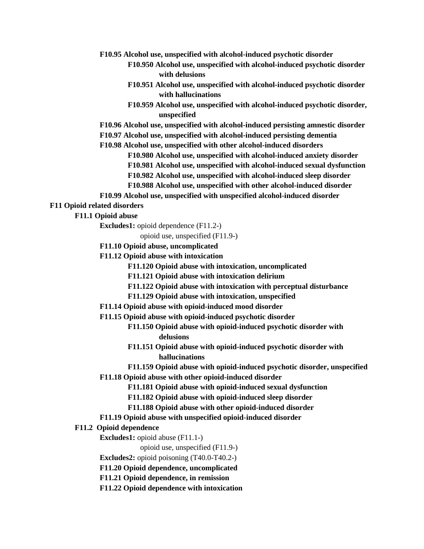**F10.95 Alcohol use, unspecified with alcohol-induced psychotic disorder**

- **F10.950 Alcohol use, unspecified with alcohol-induced psychotic disorder with delusions**
- **F10.951 Alcohol use, unspecified with alcohol-induced psychotic disorder with hallucinations**
- **F10.959 Alcohol use, unspecified with alcohol-induced psychotic disorder, unspecified**

**F10.96 Alcohol use, unspecified with alcohol-induced persisting amnestic disorder**

**F10.97 Alcohol use, unspecified with alcohol-induced persisting dementia**

**F10.98 Alcohol use, unspecified with other alcohol-induced disorders**

**F10.980 Alcohol use, unspecified with alcohol-induced anxiety disorder F10.981 Alcohol use, unspecified with alcohol-induced sexual dysfunction**

- **F10.982 Alcohol use, unspecified with alcohol-induced sleep disorder**
- **F10.988 Alcohol use, unspecified with other alcohol-induced disorder**
- **F10.99 Alcohol use, unspecified with unspecified alcohol-induced disorder**

**F11 Opioid related disorders**

**F11.1 Opioid abuse**

**Excludes1:** opioid dependence (F11.2-)

opioid use, unspecified (F11.9-)

- **F11.10 Opioid abuse, uncomplicated**
- **F11.12 Opioid abuse with intoxication**

**F11.120 Opioid abuse with intoxication, uncomplicated**

**F11.121 Opioid abuse with intoxication delirium**

- **F11.122 Opioid abuse with intoxication with perceptual disturbance**
- **F11.129 Opioid abuse with intoxication, unspecified**
- **F11.14 Opioid abuse with opioid-induced mood disorder**
- **F11.15 Opioid abuse with opioid-induced psychotic disorder**
	- **F11.150 Opioid abuse with opioid-induced psychotic disorder with delusions**
	- **F11.151 Opioid abuse with opioid-induced psychotic disorder with hallucinations**

**F11.159 Opioid abuse with opioid-induced psychotic disorder, unspecified F11.18 Opioid abuse with other opioid-induced disorder**

**F11.181 Opioid abuse with opioid-induced sexual dysfunction**

- **F11.182 Opioid abuse with opioid-induced sleep disorder**
- **F11.188 Opioid abuse with other opioid-induced disorder**
- **F11.19 Opioid abuse with unspecified opioid-induced disorder**

#### **F11.2 Opioid dependence**

**Excludes1:** opioid abuse (F11.1-)

opioid use, unspecified (F11.9-)

**Excludes2:** opioid poisoning (T40.0-T40.2-)

**F11.20 Opioid dependence, uncomplicated**

**F11.21 Opioid dependence, in remission**

**F11.22 Opioid dependence with intoxication**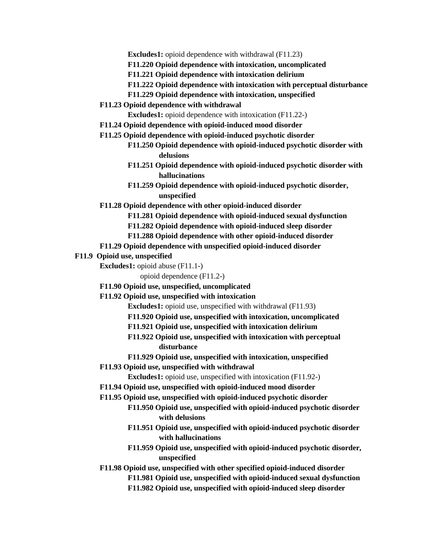**Excludes1:** opioid dependence with withdrawal (F11.23)

- **F11.220 Opioid dependence with intoxication, uncomplicated**
- **F11.221 Opioid dependence with intoxication delirium**
- **F11.222 Opioid dependence with intoxication with perceptual disturbance**
- **F11.229 Opioid dependence with intoxication, unspecified**
- **F11.23 Opioid dependence with withdrawal**

**Excludes1:** opioid dependence with intoxication (F11.22-)

- **F11.24 Opioid dependence with opioid-induced mood disorder**
- **F11.25 Opioid dependence with opioid-induced psychotic disorder**
	- **F11.250 Opioid dependence with opioid-induced psychotic disorder with delusions**
	- **F11.251 Opioid dependence with opioid-induced psychotic disorder with hallucinations**
	- **F11.259 Opioid dependence with opioid-induced psychotic disorder, unspecified**
- **F11.28 Opioid dependence with other opioid-induced disorder**
	- **F11.281 Opioid dependence with opioid-induced sexual dysfunction**
	- **F11.282 Opioid dependence with opioid-induced sleep disorder**
	- **F11.288 Opioid dependence with other opioid-induced disorder**

#### **F11.29 Opioid dependence with unspecified opioid-induced disorder**

#### **F11.9 Opioid use, unspecified**

**Excludes1:** opioid abuse (F11.1-)

opioid dependence (F11.2-)

**F11.90 Opioid use, unspecified, uncomplicated**

### **F11.92 Opioid use, unspecified with intoxication**

**Excludes1:** opioid use, unspecified with withdrawal (F11.93)

- **F11.920 Opioid use, unspecified with intoxication, uncomplicated**
- **F11.921 Opioid use, unspecified with intoxication delirium**
- **F11.922 Opioid use, unspecified with intoxication with perceptual disturbance**
- **F11.929 Opioid use, unspecified with intoxication, unspecified**
- **F11.93 Opioid use, unspecified with withdrawal**
	- **Excludes1:** opioid use, unspecified with intoxication (F11.92-)
- **F11.94 Opioid use, unspecified with opioid-induced mood disorder**
- **F11.95 Opioid use, unspecified with opioid-induced psychotic disorder**
	- **F11.950 Opioid use, unspecified with opioid-induced psychotic disorder with delusions**
	- **F11.951 Opioid use, unspecified with opioid-induced psychotic disorder with hallucinations**
	- **F11.959 Opioid use, unspecified with opioid-induced psychotic disorder, unspecified**
- **F11.98 Opioid use, unspecified with other specified opioid-induced disorder**
	- **F11.981 Opioid use, unspecified with opioid-induced sexual dysfunction**
	- **F11.982 Opioid use, unspecified with opioid-induced sleep disorder**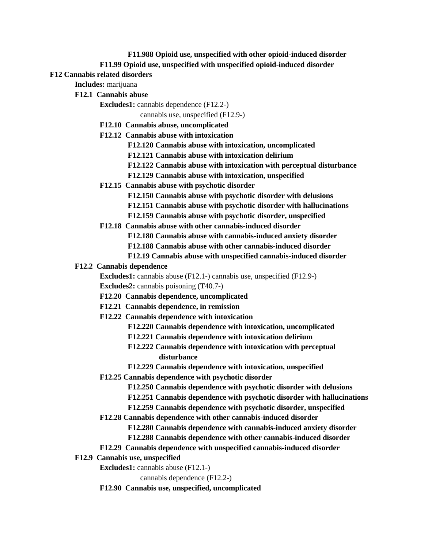**F11.988 Opioid use, unspecified with other opioid-induced disorder**

# **F11.99 Opioid use, unspecified with unspecified opioid-induced disorder**

# **F12 Cannabis related disorders**

**Includes:** marijuana

**F12.1 Cannabis abuse**

**Excludes1:** cannabis dependence (F12.2-)

cannabis use, unspecified (F12.9-)

- **F12.10 Cannabis abuse, uncomplicated**
- **F12.12 Cannabis abuse with intoxication**

**F12.120 Cannabis abuse with intoxication, uncomplicated**

- **F12.121 Cannabis abuse with intoxication delirium**
- **F12.122 Cannabis abuse with intoxication with perceptual disturbance**
- **F12.129 Cannabis abuse with intoxication, unspecified**
- **F12.15 Cannabis abuse with psychotic disorder**
	- **F12.150 Cannabis abuse with psychotic disorder with delusions**
	- **F12.151 Cannabis abuse with psychotic disorder with hallucinations**
	- **F12.159 Cannabis abuse with psychotic disorder, unspecified**
- **F12.18 Cannabis abuse with other cannabis-induced disorder**

**F12.180 Cannabis abuse with cannabis-induced anxiety disorder**

- **F12.188 Cannabis abuse with other cannabis-induced disorder**
- **F12.19 Cannabis abuse with unspecified cannabis-induced disorder**

# **F12.2 Cannabis dependence**

**Excludes1:** cannabis abuse (F12.1-) cannabis use, unspecified (F12.9-) **Excludes2:** cannabis poisoning (T40.7-)

- **F12.20 Cannabis dependence, uncomplicated**
- **F12.21 Cannabis dependence, in remission**
- **F12.22 Cannabis dependence with intoxication**
	- **F12.220 Cannabis dependence with intoxication, uncomplicated**
	- **F12.221 Cannabis dependence with intoxication delirium**
	- **F12.222 Cannabis dependence with intoxication with perceptual disturbance**
	- **F12.229 Cannabis dependence with intoxication, unspecified**
- **F12.25 Cannabis dependence with psychotic disorder**
	- **F12.250 Cannabis dependence with psychotic disorder with delusions**
	- **F12.251 Cannabis dependence with psychotic disorder with hallucinations**
	- **F12.259 Cannabis dependence with psychotic disorder, unspecified**
- **F12.28 Cannabis dependence with other cannabis-induced disorder**
	- **F12.280 Cannabis dependence with cannabis-induced anxiety disorder**
	- **F12.288 Cannabis dependence with other cannabis-induced disorder**
- **F12.29 Cannabis dependence with unspecified cannabis-induced disorder**
- **F12.9 Cannabis use, unspecified**
	- **Excludes1:** cannabis abuse (F12.1-)

cannabis dependence (F12.2-)

**F12.90 Cannabis use, unspecified, uncomplicated**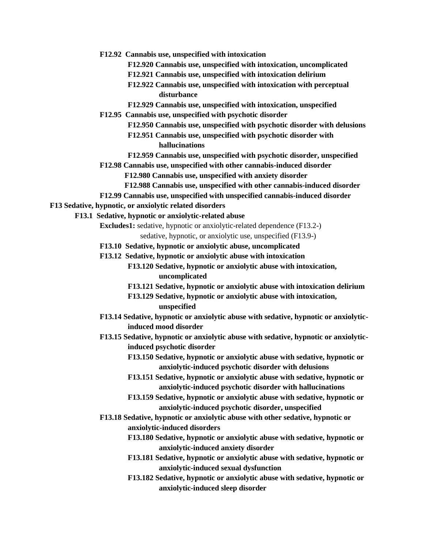- **F12.92 Cannabis use, unspecified with intoxication**
	- **F12.920 Cannabis use, unspecified with intoxication, uncomplicated**
	- **F12.921 Cannabis use, unspecified with intoxication delirium**
	- **F12.922 Cannabis use, unspecified with intoxication with perceptual disturbance**
	- **F12.929 Cannabis use, unspecified with intoxication, unspecified**
- **F12.95 Cannabis use, unspecified with psychotic disorder**
	- **F12.950 Cannabis use, unspecified with psychotic disorder with delusions**
	- **F12.951 Cannabis use, unspecified with psychotic disorder with hallucinations**
	- **F12.959 Cannabis use, unspecified with psychotic disorder, unspecified**
- **F12.98 Cannabis use, unspecified with other cannabis-induced disorder**
	- **F12.980 Cannabis use, unspecified with anxiety disorder**
	- **F12.988 Cannabis use, unspecified with other cannabis-induced disorder**
- **F12.99 Cannabis use, unspecified with unspecified cannabis-induced disorder**

## **F13 Sedative, hypnotic, or anxiolytic related disorders**

- **F13.1 Sedative, hypnotic or anxiolytic-related abuse**
	- **Excludes1:** sedative, hypnotic or anxiolytic-related dependence (F13.2-)
		- sedative, hypnotic, or anxiolytic use, unspecified (F13.9-)
	- **F13.10 Sedative, hypnotic or anxiolytic abuse, uncomplicated**
	- **F13.12 Sedative, hypnotic or anxiolytic abuse with intoxication**
		- **F13.120 Sedative, hypnotic or anxiolytic abuse with intoxication, uncomplicated**
		- **F13.121 Sedative, hypnotic or anxiolytic abuse with intoxication delirium**
		- **F13.129 Sedative, hypnotic or anxiolytic abuse with intoxication, unspecified**
	- **F13.14 Sedative, hypnotic or anxiolytic abuse with sedative, hypnotic or anxiolyticinduced mood disorder**
	- **F13.15 Sedative, hypnotic or anxiolytic abuse with sedative, hypnotic or anxiolyticinduced psychotic disorder**
		- **F13.150 Sedative, hypnotic or anxiolytic abuse with sedative, hypnotic or anxiolytic-induced psychotic disorder with delusions**
		- **F13.151 Sedative, hypnotic or anxiolytic abuse with sedative, hypnotic or anxiolytic-induced psychotic disorder with hallucinations**
		- **F13.159 Sedative, hypnotic or anxiolytic abuse with sedative, hypnotic or anxiolytic-induced psychotic disorder, unspecified**
	- **F13.18 Sedative, hypnotic or anxiolytic abuse with other sedative, hypnotic or anxiolytic-induced disorders**
		- **F13.180 Sedative, hypnotic or anxiolytic abuse with sedative, hypnotic or anxiolytic-induced anxiety disorder**
		- **F13.181 Sedative, hypnotic or anxiolytic abuse with sedative, hypnotic or anxiolytic-induced sexual dysfunction**
		- **F13.182 Sedative, hypnotic or anxiolytic abuse with sedative, hypnotic or anxiolytic-induced sleep disorder**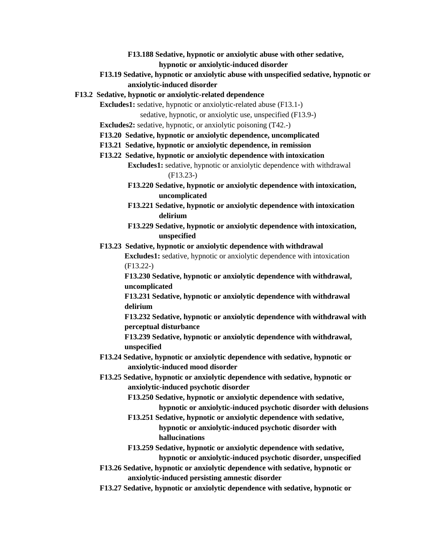- **F13.188 Sedative, hypnotic or anxiolytic abuse with other sedative, hypnotic or anxiolytic-induced disorder**
- **F13.19 Sedative, hypnotic or anxiolytic abuse with unspecified sedative, hypnotic or anxiolytic-induced disorder**

#### **F13.2 Sedative, hypnotic or anxiolytic-related dependence**

**Excludes1:** sedative, hypnotic or anxiolytic-related abuse (F13.1-)

sedative, hypnotic, or anxiolytic use, unspecified (F13.9-)

**Excludes2:** sedative, hypnotic, or anxiolytic poisoning (T42.-)

- **F13.20 Sedative, hypnotic or anxiolytic dependence, uncomplicated**
- **F13.21 Sedative, hypnotic or anxiolytic dependence, in remission**

# **F13.22 Sedative, hypnotic or anxiolytic dependence with intoxication**

**Excludes1:** sedative, hypnotic or anxiolytic dependence with withdrawal (F13.23-)

- **F13.220 Sedative, hypnotic or anxiolytic dependence with intoxication, uncomplicated**
- **F13.221 Sedative, hypnotic or anxiolytic dependence with intoxication delirium**
- **F13.229 Sedative, hypnotic or anxiolytic dependence with intoxication, unspecified**

#### **F13.23 Sedative, hypnotic or anxiolytic dependence with withdrawal**

**Excludes1:** sedative, hypnotic or anxiolytic dependence with intoxication (F13.22-)

**F13.230 Sedative, hypnotic or anxiolytic dependence with withdrawal, uncomplicated**

**F13.231 Sedative, hypnotic or anxiolytic dependence with withdrawal delirium**

**F13.232 Sedative, hypnotic or anxiolytic dependence with withdrawal with perceptual disturbance**

**F13.239 Sedative, hypnotic or anxiolytic dependence with withdrawal, unspecified**

- **F13.24 Sedative, hypnotic or anxiolytic dependence with sedative, hypnotic or anxiolytic-induced mood disorder**
- **F13.25 Sedative, hypnotic or anxiolytic dependence with sedative, hypnotic or anxiolytic-induced psychotic disorder**

**F13.250 Sedative, hypnotic or anxiolytic dependence with sedative,** 

**hypnotic or anxiolytic-induced psychotic disorder with delusions**

**F13.251 Sedative, hypnotic or anxiolytic dependence with sedative, hypnotic or anxiolytic-induced psychotic disorder with hallucinations**

**F13.259 Sedative, hypnotic or anxiolytic dependence with sedative, hypnotic or anxiolytic-induced psychotic disorder, unspecified**

- **F13.26 Sedative, hypnotic or anxiolytic dependence with sedative, hypnotic or anxiolytic-induced persisting amnestic disorder**
- **F13.27 Sedative, hypnotic or anxiolytic dependence with sedative, hypnotic or**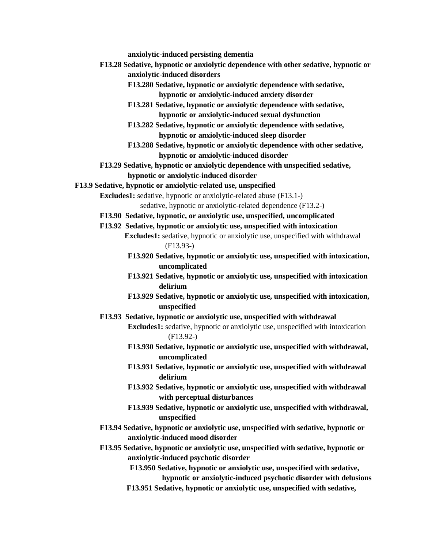**anxiolytic-induced persisting dementia**

- **F13.28 Sedative, hypnotic or anxiolytic dependence with other sedative, hypnotic or anxiolytic-induced disorders**
	- **F13.280 Sedative, hypnotic or anxiolytic dependence with sedative, hypnotic or anxiolytic-induced anxiety disorder**
	- **F13.281 Sedative, hypnotic or anxiolytic dependence with sedative, hypnotic or anxiolytic-induced sexual dysfunction**
	- **F13.282 Sedative, hypnotic or anxiolytic dependence with sedative, hypnotic or anxiolytic-induced sleep disorder**
	- **F13.288 Sedative, hypnotic or anxiolytic dependence with other sedative, hypnotic or anxiolytic-induced disorder**
- **F13.29 Sedative, hypnotic or anxiolytic dependence with unspecified sedative, hypnotic or anxiolytic-induced disorder**
- **F13.9 Sedative, hypnotic or anxiolytic-related use, unspecified**

**Excludes1:** sedative, hypnotic or anxiolytic-related abuse (F13.1-)

sedative, hypnotic or anxiolytic-related dependence (F13.2-)

- **F13.90 Sedative, hypnotic, or anxiolytic use, unspecified, uncomplicated**
- **F13.92 Sedative, hypnotic or anxiolytic use, unspecified with intoxication Excludes1:** sedative, hypnotic or anxiolytic use, unspecified with withdrawal (F13.93-)
	- **F13.920 Sedative, hypnotic or anxiolytic use, unspecified with intoxication, uncomplicated**
	- **F13.921 Sedative, hypnotic or anxiolytic use, unspecified with intoxication delirium**
	- **F13.929 Sedative, hypnotic or anxiolytic use, unspecified with intoxication, unspecified**
- **F13.93 Sedative, hypnotic or anxiolytic use, unspecified with withdrawal**
	- **Excludes1:** sedative, hypnotic or anxiolytic use, unspecified with intoxication (F13.92-)
		- **F13.930 Sedative, hypnotic or anxiolytic use, unspecified with withdrawal, uncomplicated**
		- **F13.931 Sedative, hypnotic or anxiolytic use, unspecified with withdrawal delirium**
		- **F13.932 Sedative, hypnotic or anxiolytic use, unspecified with withdrawal with perceptual disturbances**
		- **F13.939 Sedative, hypnotic or anxiolytic use, unspecified with withdrawal, unspecified**
- **F13.94 Sedative, hypnotic or anxiolytic use, unspecified with sedative, hypnotic or anxiolytic-induced mood disorder**
- **F13.95 Sedative, hypnotic or anxiolytic use, unspecified with sedative, hypnotic or anxiolytic-induced psychotic disorder**
	- **F13.950 Sedative, hypnotic or anxiolytic use, unspecified with sedative, hypnotic or anxiolytic-induced psychotic disorder with delusions**
	- **F13.951 Sedative, hypnotic or anxiolytic use, unspecified with sedative,**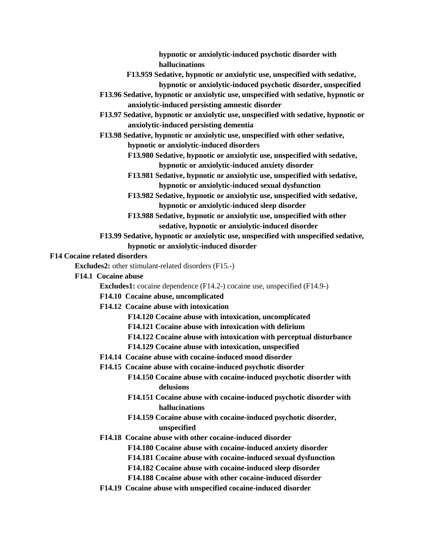**hypnotic or anxiolytic-induced psychotic disorder with hallucinations**

- **F13.959 Sedative, hypnotic or anxiolytic use, unspecified with sedative,** 
	- **hypnotic or anxiolytic-induced psychotic disorder, unspecified**
- **F13.96 Sedative, hypnotic or anxiolytic use, unspecified with sedative, hypnotic or anxiolytic-induced persisting amnestic disorder**
- **F13.97 Sedative, hypnotic or anxiolytic use, unspecified with sedative, hypnotic or anxiolytic-induced persisting dementia**
- **F13.98 Sedative, hypnotic or anxiolytic use, unspecified with other sedative, hypnotic or anxiolytic-induced disorders**
	- **F13.980 Sedative, hypnotic or anxiolytic use, unspecified with sedative, hypnotic or anxiolytic-induced anxiety disorder**
	- **F13.981 Sedative, hypnotic or anxiolytic use, unspecified with sedative, hypnotic or anxiolytic-induced sexual dysfunction**
	- **F13.982 Sedative, hypnotic or anxiolytic use, unspecified with sedative, hypnotic or anxiolytic-induced sleep disorder**
	- **F13.988 Sedative, hypnotic or anxiolytic use, unspecified with other sedative, hypnotic or anxiolytic-induced disorder**
- **F13.99 Sedative, hypnotic or anxiolytic use, unspecified with unspecified sedative, hypnotic or anxiolytic-induced disorder**

#### **F14 Cocaine related disorders**

**Excludes2:** other stimulant-related disorders (F15.-)

**F14.1 Cocaine abuse**

**Excludes1:** cocaine dependence (F14.2-) cocaine use, unspecified (F14.9-)

- **F14.10 Cocaine abuse, uncomplicated**
- **F14.12 Cocaine abuse with intoxication**
	- **F14.120 Cocaine abuse with intoxication, uncomplicated**
	- **F14.121 Cocaine abuse with intoxication with delirium**
	- **F14.122 Cocaine abuse with intoxication with perceptual disturbance**
	- **F14.129 Cocaine abuse with intoxication, unspecified**
- **F14.14 Cocaine abuse with cocaine-induced mood disorder**
- **F14.15 Cocaine abuse with cocaine-induced psychotic disorder**
	- **F14.150 Cocaine abuse with cocaine-induced psychotic disorder with delusions**
	- **F14.151 Cocaine abuse with cocaine-induced psychotic disorder with hallucinations**
	- **F14.159 Cocaine abuse with cocaine-induced psychotic disorder, unspecified**
- **F14.18 Cocaine abuse with other cocaine-induced disorder**
	- **F14.180 Cocaine abuse with cocaine-induced anxiety disorder**
	- **F14.181 Cocaine abuse with cocaine-induced sexual dysfunction**
	- **F14.182 Cocaine abuse with cocaine-induced sleep disorder**
	- **F14.188 Cocaine abuse with other cocaine-induced disorder**
- **F14.19 Cocaine abuse with unspecified cocaine-induced disorder**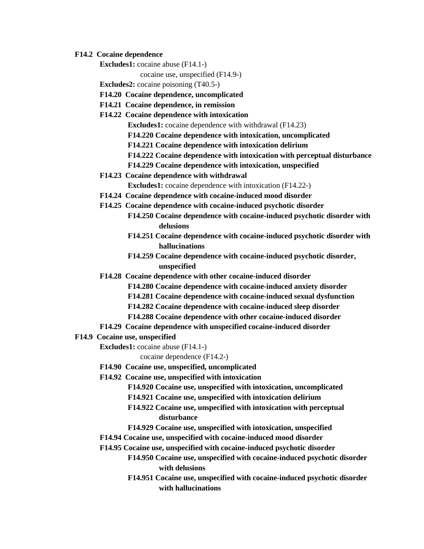#### **F14.2 Cocaine dependence**

**Excludes1:** cocaine abuse (F14.1-)

cocaine use, unspecified (F14.9-)

**Excludes2:** cocaine poisoning (T40.5-)

- **F14.20 Cocaine dependence, uncomplicated**
- **F14.21 Cocaine dependence, in remission**
- **F14.22 Cocaine dependence with intoxication**

**Excludes1:** cocaine dependence with withdrawal (F14.23)

- **F14.220 Cocaine dependence with intoxication, uncomplicated**
- **F14.221 Cocaine dependence with intoxication delirium**
- **F14.222 Cocaine dependence with intoxication with perceptual disturbance**
- **F14.229 Cocaine dependence with intoxication, unspecified**
- **F14.23 Cocaine dependence with withdrawal Excludes1:** cocaine dependence with intoxication (F14.22-)
- **F14.24 Cocaine dependence with cocaine-induced mood disorder**
- **F14.25 Cocaine dependence with cocaine-induced psychotic disorder**
	- **F14.250 Cocaine dependence with cocaine-induced psychotic disorder with delusions**
		- **F14.251 Cocaine dependence with cocaine-induced psychotic disorder with hallucinations**
		- **F14.259 Cocaine dependence with cocaine-induced psychotic disorder, unspecified**
- **F14.28 Cocaine dependence with other cocaine-induced disorder**
	- **F14.280 Cocaine dependence with cocaine-induced anxiety disorder**
	- **F14.281 Cocaine dependence with cocaine-induced sexual dysfunction**
	- **F14.282 Cocaine dependence with cocaine-induced sleep disorder**
	- **F14.288 Cocaine dependence with other cocaine-induced disorder**
- **F14.29 Cocaine dependence with unspecified cocaine-induced disorder**
- **F14.9 Cocaine use, unspecified**
	- **Excludes1:** cocaine abuse (F14.1-)

cocaine dependence (F14.2-)

- **F14.90 Cocaine use, unspecified, uncomplicated**
- **F14.92 Cocaine use, unspecified with intoxication**
	- **F14.920 Cocaine use, unspecified with intoxication, uncomplicated**
	- **F14.921 Cocaine use, unspecified with intoxication delirium**
	- **F14.922 Cocaine use, unspecified with intoxication with perceptual disturbance**
	- **F14.929 Cocaine use, unspecified with intoxication, unspecified**
- **F14.94 Cocaine use, unspecified with cocaine-induced mood disorder**
- **F14.95 Cocaine use, unspecified with cocaine-induced psychotic disorder**
	- **F14.950 Cocaine use, unspecified with cocaine-induced psychotic disorder with delusions**
	- **F14.951 Cocaine use, unspecified with cocaine-induced psychotic disorder with hallucinations**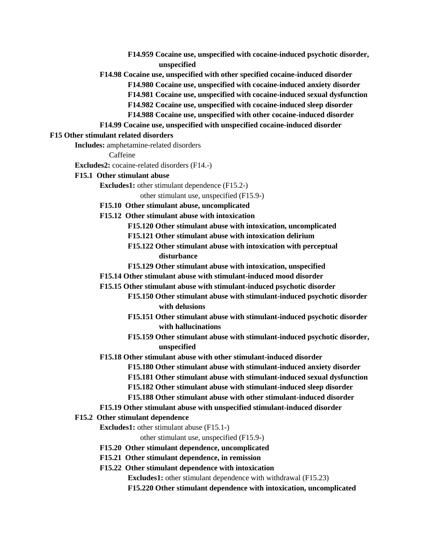- **F14.959 Cocaine use, unspecified with cocaine-induced psychotic disorder, unspecified**
- **F14.98 Cocaine use, unspecified with other specified cocaine-induced disorder**
	- **F14.980 Cocaine use, unspecified with cocaine-induced anxiety disorder**
	- **F14.981 Cocaine use, unspecified with cocaine-induced sexual dysfunction**
	- **F14.982 Cocaine use, unspecified with cocaine-induced sleep disorder**
	- **F14.988 Cocaine use, unspecified with other cocaine-induced disorder**
- **F14.99 Cocaine use, unspecified with unspecified cocaine-induced disorder**

#### **F15 Other stimulant related disorders**

**Includes:** amphetamine-related disorders

Caffeine

**Excludes2:** cocaine-related disorders (F14.-)

- **F15.1 Other stimulant abuse**
	- **Excludes1:** other stimulant dependence (F15.2-)

other stimulant use, unspecified (F15.9-)

- **F15.10 Other stimulant abuse, uncomplicated**
- **F15.12 Other stimulant abuse with intoxication**
	- **F15.120 Other stimulant abuse with intoxication, uncomplicated**
	- **F15.121 Other stimulant abuse with intoxication delirium**
	- **F15.122 Other stimulant abuse with intoxication with perceptual disturbance**
	- **F15.129 Other stimulant abuse with intoxication, unspecified**
- **F15.14 Other stimulant abuse with stimulant-induced mood disorder**
- **F15.15 Other stimulant abuse with stimulant-induced psychotic disorder**
	- **F15.150 Other stimulant abuse with stimulant-induced psychotic disorder with delusions**
		- **F15.151 Other stimulant abuse with stimulant-induced psychotic disorder with hallucinations**
		- **F15.159 Other stimulant abuse with stimulant-induced psychotic disorder, unspecified**
- **F15.18 Other stimulant abuse with other stimulant-induced disorder**
	- **F15.180 Other stimulant abuse with stimulant-induced anxiety disorder**
	- **F15.181 Other stimulant abuse with stimulant-induced sexual dysfunction**
	- **F15.182 Other stimulant abuse with stimulant-induced sleep disorder**
	- **F15.188 Other stimulant abuse with other stimulant-induced disorder**
- **F15.19 Other stimulant abuse with unspecified stimulant-induced disorder**

#### **F15.2 Other stimulant dependence**

**Excludes1:** other stimulant abuse (F15.1-)

other stimulant use, unspecified (F15.9-)

- **F15.20 Other stimulant dependence, uncomplicated**
- **F15.21 Other stimulant dependence, in remission**
- **F15.22 Other stimulant dependence with intoxication**

**Excludes1:** other stimulant dependence with withdrawal (F15.23)

**F15.220 Other stimulant dependence with intoxication, uncomplicated**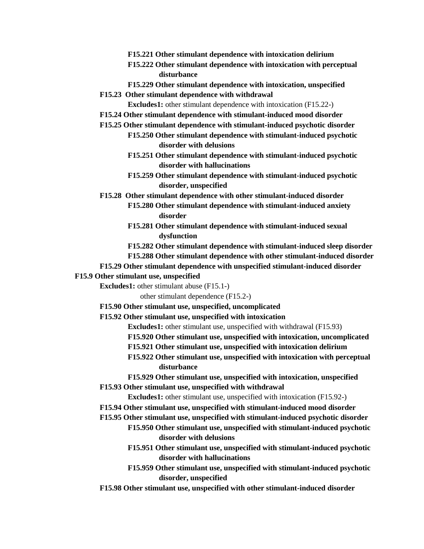- **F15.221 Other stimulant dependence with intoxication delirium**
- **F15.222 Other stimulant dependence with intoxication with perceptual disturbance**
- **F15.229 Other stimulant dependence with intoxication, unspecified**
- **F15.23 Other stimulant dependence with withdrawal**

**Excludes1:** other stimulant dependence with intoxication (F15.22-)

- **F15.24 Other stimulant dependence with stimulant-induced mood disorder**
- **F15.25 Other stimulant dependence with stimulant-induced psychotic disorder**
	- **F15.250 Other stimulant dependence with stimulant-induced psychotic disorder with delusions**
	- **F15.251 Other stimulant dependence with stimulant-induced psychotic disorder with hallucinations**
	- **F15.259 Other stimulant dependence with stimulant-induced psychotic disorder, unspecified**
- **F15.28 Other stimulant dependence with other stimulant-induced disorder**
	- **F15.280 Other stimulant dependence with stimulant-induced anxiety disorder**
	- **F15.281 Other stimulant dependence with stimulant-induced sexual dysfunction**
	- **F15.282 Other stimulant dependence with stimulant-induced sleep disorder**
	- **F15.288 Other stimulant dependence with other stimulant-induced disorder**

#### **F15.29 Other stimulant dependence with unspecified stimulant-induced disorder**

- **F15.9 Other stimulant use, unspecified**
	- **Excludes1:** other stimulant abuse (F15.1-)
		- other stimulant dependence (F15.2-)
	- **F15.90 Other stimulant use, unspecified, uncomplicated**
	- **F15.92 Other stimulant use, unspecified with intoxication**
		- **Excludes1:** other stimulant use, unspecified with withdrawal (F15.93)
		- **F15.920 Other stimulant use, unspecified with intoxication, uncomplicated**
		- **F15.921 Other stimulant use, unspecified with intoxication delirium**
		- **F15.922 Other stimulant use, unspecified with intoxication with perceptual disturbance**
		- **F15.929 Other stimulant use, unspecified with intoxication, unspecified**
	- **F15.93 Other stimulant use, unspecified with withdrawal**
		- **Excludes1:** other stimulant use, unspecified with intoxication (F15.92-)
	- **F15.94 Other stimulant use, unspecified with stimulant-induced mood disorder**
	- **F15.95 Other stimulant use, unspecified with stimulant-induced psychotic disorder**
		- **F15.950 Other stimulant use, unspecified with stimulant-induced psychotic disorder with delusions**
		- **F15.951 Other stimulant use, unspecified with stimulant-induced psychotic disorder with hallucinations**
		- **F15.959 Other stimulant use, unspecified with stimulant-induced psychotic disorder, unspecified**
	- **F15.98 Other stimulant use, unspecified with other stimulant-induced disorder**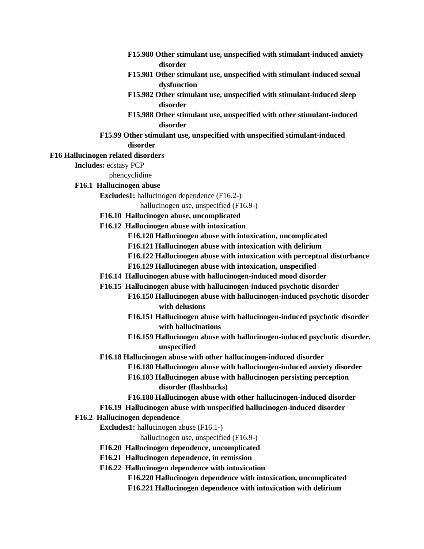- **F15.980 Other stimulant use, unspecified with stimulant-induced anxiety disorder**
- **F15.981 Other stimulant use, unspecified with stimulant-induced sexual dysfunction**
- **F15.982 Other stimulant use, unspecified with stimulant-induced sleep disorder**
- **F15.988 Other stimulant use, unspecified with other stimulant-induced disorder**
- **F15.99 Other stimulant use, unspecified with unspecified stimulant-induced disorder**

#### **F16 Hallucinogen related disorders**

**Includes:** ecstasy PCP

phencyclidine

#### **F16.1 Hallucinogen abuse**

**Excludes1:** hallucinogen dependence (F16.2-)

hallucinogen use, unspecified (F16.9-)

- **F16.10 Hallucinogen abuse, uncomplicated**
- **F16.12 Hallucinogen abuse with intoxication**
	- **F16.120 Hallucinogen abuse with intoxication, uncomplicated**
	- **F16.121 Hallucinogen abuse with intoxication with delirium**
	- **F16.122 Hallucinogen abuse with intoxication with perceptual disturbance**
	- **F16.129 Hallucinogen abuse with intoxication, unspecified**
- **F16.14 Hallucinogen abuse with hallucinogen-induced mood disorder**
- **F16.15 Hallucinogen abuse with hallucinogen-induced psychotic disorder**
	- **F16.150 Hallucinogen abuse with hallucinogen-induced psychotic disorder with delusions**
		- **F16.151 Hallucinogen abuse with hallucinogen-induced psychotic disorder with hallucinations**
		- **F16.159 Hallucinogen abuse with hallucinogen-induced psychotic disorder, unspecified**
- **F16.18 Hallucinogen abuse with other hallucinogen-induced disorder**
	- **F16.180 Hallucinogen abuse with hallucinogen-induced anxiety disorder**
	- **F16.183 Hallucinogen abuse with hallucinogen persisting perception disorder (flashbacks)**
	- **F16.188 Hallucinogen abuse with other hallucinogen-induced disorder**
- **F16.19 Hallucinogen abuse with unspecified hallucinogen-induced disorder**

#### **F16.2 Hallucinogen dependence**

**Excludes1:** hallucinogen abuse (F16.1-)

hallucinogen use, unspecified (F16.9-)

- **F16.20 Hallucinogen dependence, uncomplicated**
- **F16.21 Hallucinogen dependence, in remission**
- **F16.22 Hallucinogen dependence with intoxication**
	- **F16.220 Hallucinogen dependence with intoxication, uncomplicated**
	- **F16.221 Hallucinogen dependence with intoxication with delirium**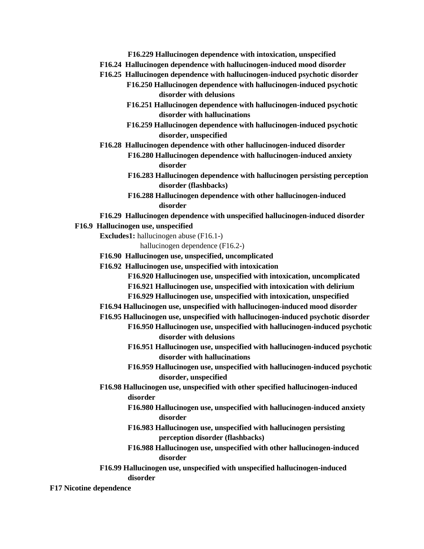- **F16.229 Hallucinogen dependence with intoxication, unspecified**
- **F16.24 Hallucinogen dependence with hallucinogen-induced mood disorder**
- **F16.25 Hallucinogen dependence with hallucinogen-induced psychotic disorder F16.250 Hallucinogen dependence with hallucinogen-induced psychotic disorder with delusions**
	- **F16.251 Hallucinogen dependence with hallucinogen-induced psychotic disorder with hallucinations**
	- **F16.259 Hallucinogen dependence with hallucinogen-induced psychotic disorder, unspecified**
- **F16.28 Hallucinogen dependence with other hallucinogen-induced disorder**
	- **F16.280 Hallucinogen dependence with hallucinogen-induced anxiety disorder**
	- **F16.283 Hallucinogen dependence with hallucinogen persisting perception disorder (flashbacks)**
	- **F16.288 Hallucinogen dependence with other hallucinogen-induced disorder**
- **F16.29 Hallucinogen dependence with unspecified hallucinogen-induced disorder**

#### **F16.9 Hallucinogen use, unspecified**

**Excludes1:** hallucinogen abuse (F16.1-)

hallucinogen dependence (F16.2-)

- **F16.90 Hallucinogen use, unspecified, uncomplicated**
- **F16.92 Hallucinogen use, unspecified with intoxication**

**F16.920 Hallucinogen use, unspecified with intoxication, uncomplicated**

- **F16.921 Hallucinogen use, unspecified with intoxication with delirium**
- **F16.929 Hallucinogen use, unspecified with intoxication, unspecified**

**F16.94 Hallucinogen use, unspecified with hallucinogen-induced mood disorder**

**F16.95 Hallucinogen use, unspecified with hallucinogen-induced psychotic disorder**

- **F16.950 Hallucinogen use, unspecified with hallucinogen-induced psychotic disorder with delusions**
	- **F16.951 Hallucinogen use, unspecified with hallucinogen-induced psychotic disorder with hallucinations**
	- **F16.959 Hallucinogen use, unspecified with hallucinogen-induced psychotic disorder, unspecified**
- **F16.98 Hallucinogen use, unspecified with other specified hallucinogen-induced disorder**
	- **F16.980 Hallucinogen use, unspecified with hallucinogen-induced anxiety disorder**
	- **F16.983 Hallucinogen use, unspecified with hallucinogen persisting perception disorder (flashbacks)**
	- **F16.988 Hallucinogen use, unspecified with other hallucinogen-induced disorder**
- **F16.99 Hallucinogen use, unspecified with unspecified hallucinogen-induced disorder**

#### **F17 Nicotine dependence**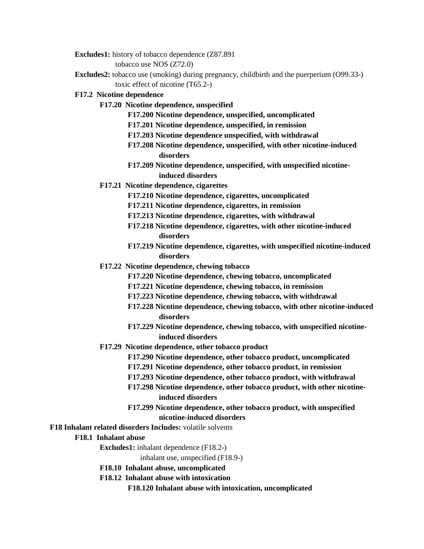**Excludes1:** history of tobacco dependence (Z87.891

tobacco use NOS (Z72.0)

**Excludes2:** tobacco use (smoking) during pregnancy, childbirth and the puerperium (O99.33-) toxic effect of nicotine (T65.2-)

### **F17.2 Nicotine dependence**

- **F17.20 Nicotine dependence, unspecified**
	- **F17.200 Nicotine dependence, unspecified, uncomplicated**
	- **F17.201 Nicotine dependence, unspecified, in remission**
	- **F17.203 Nicotine dependence unspecified, with withdrawal**
	- **F17.208 Nicotine dependence, unspecified, with other nicotine-induced disorders**
	- **F17.209 Nicotine dependence, unspecified, with unspecified nicotineinduced disorders**
- **F17.21 Nicotine dependence, cigarettes**
	- **F17.210 Nicotine dependence, cigarettes, uncomplicated**
	- **F17.211 Nicotine dependence, cigarettes, in remission**
	- **F17.213 Nicotine dependence, cigarettes, with withdrawal**
	- **F17.218 Nicotine dependence, cigarettes, with other nicotine-induced disorders**
	- **F17.219 Nicotine dependence, cigarettes, with unspecified nicotine-induced disorders**
- **F17.22 Nicotine dependence, chewing tobacco**
	- **F17.220 Nicotine dependence, chewing tobacco, uncomplicated**
	- **F17.221 Nicotine dependence, chewing tobacco, in remission**
	- **F17.223 Nicotine dependence, chewing tobacco, with withdrawal**
	- **F17.228 Nicotine dependence, chewing tobacco, with other nicotine-induced disorders**
	- **F17.229 Nicotine dependence, chewing tobacco, with unspecified nicotineinduced disorders**
- **F17.29 Nicotine dependence, other tobacco product**
	- **F17.290 Nicotine dependence, other tobacco product, uncomplicated**
	- **F17.291 Nicotine dependence, other tobacco product, in remission**
	- **F17.293 Nicotine dependence, other tobacco product, with withdrawal**
	- **F17.298 Nicotine dependence, other tobacco product, with other nicotineinduced disorders**
	- **F17.299 Nicotine dependence, other tobacco product, with unspecified nicotine-induced disorders**
- **F18 Inhalant related disorders Includes:** volatile solvents
	- **F18.1 Inhalant abuse**
		- **Excludes1:** inhalant dependence (F18.2-)

inhalant use, unspecified (F18.9-)

- **F18.10 Inhalant abuse, uncomplicated**
- **F18.12 Inhalant abuse with intoxication**

**F18.120 Inhalant abuse with intoxication, uncomplicated**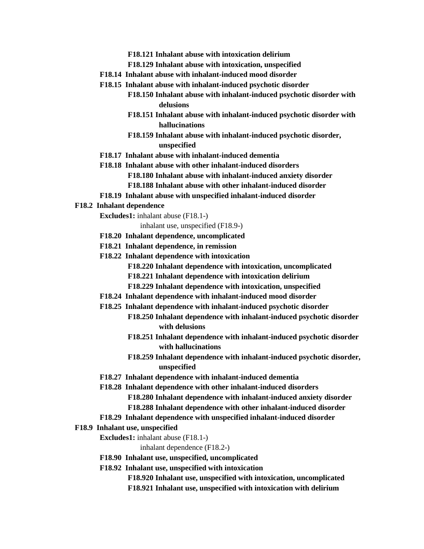**F18.121 Inhalant abuse with intoxication delirium**

- **F18.129 Inhalant abuse with intoxication, unspecified**
- **F18.14 Inhalant abuse with inhalant-induced mood disorder**
- **F18.15 Inhalant abuse with inhalant-induced psychotic disorder**
	- **F18.150 Inhalant abuse with inhalant-induced psychotic disorder with delusions**
	- **F18.151 Inhalant abuse with inhalant-induced psychotic disorder with hallucinations**
	- **F18.159 Inhalant abuse with inhalant-induced psychotic disorder, unspecified**
- **F18.17 Inhalant abuse with inhalant-induced dementia**
- **F18.18 Inhalant abuse with other inhalant-induced disorders**
	- **F18.180 Inhalant abuse with inhalant-induced anxiety disorder**
	- **F18.188 Inhalant abuse with other inhalant-induced disorder**
- **F18.19 Inhalant abuse with unspecified inhalant-induced disorder**
- **F18.2 Inhalant dependence**
	- **Excludes1:** inhalant abuse (F18.1-)

inhalant use, unspecified (F18.9-)

- **F18.20 Inhalant dependence, uncomplicated**
- **F18.21 Inhalant dependence, in remission**
- **F18.22 Inhalant dependence with intoxication**
	- **F18.220 Inhalant dependence with intoxication, uncomplicated**
	- **F18.221 Inhalant dependence with intoxication delirium**
	- **F18.229 Inhalant dependence with intoxication, unspecified**
- **F18.24 Inhalant dependence with inhalant-induced mood disorder**
- **F18.25 Inhalant dependence with inhalant-induced psychotic disorder**
	- **F18.250 Inhalant dependence with inhalant-induced psychotic disorder with delusions**
	- **F18.251 Inhalant dependence with inhalant-induced psychotic disorder with hallucinations**
	- **F18.259 Inhalant dependence with inhalant-induced psychotic disorder, unspecified**
- **F18.27 Inhalant dependence with inhalant-induced dementia**
- **F18.28 Inhalant dependence with other inhalant-induced disorders F18.280 Inhalant dependence with inhalant-induced anxiety disorder F18.288 Inhalant dependence with other inhalant-induced disorder**
- **F18.29 Inhalant dependence with unspecified inhalant-induced disorder**
- **F18.9 Inhalant use, unspecified**
	- **Excludes1:** inhalant abuse (F18.1-)

inhalant dependence (F18.2-)

- **F18.90 Inhalant use, unspecified, uncomplicated**
- **F18.92 Inhalant use, unspecified with intoxication**
	- **F18.920 Inhalant use, unspecified with intoxication, uncomplicated**
	- **F18.921 Inhalant use, unspecified with intoxication with delirium**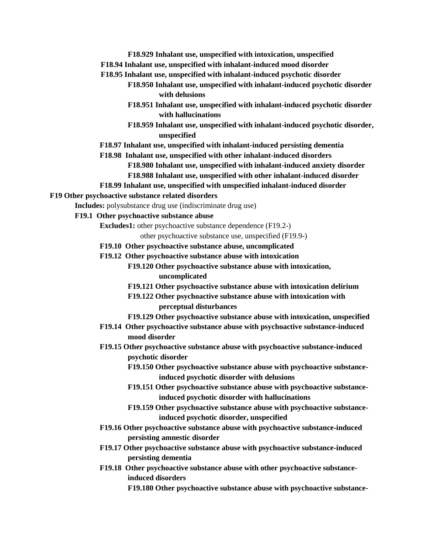- **F18.929 Inhalant use, unspecified with intoxication, unspecified F18.94 Inhalant use, unspecified with inhalant-induced mood disorder**
- **F18.95 Inhalant use, unspecified with inhalant-induced psychotic disorder**
	- **F18.950 Inhalant use, unspecified with inhalant-induced psychotic disorder with delusions**
	- **F18.951 Inhalant use, unspecified with inhalant-induced psychotic disorder with hallucinations**
	- **F18.959 Inhalant use, unspecified with inhalant-induced psychotic disorder, unspecified**
- **F18.97 Inhalant use, unspecified with inhalant-induced persisting dementia**
- **F18.98 Inhalant use, unspecified with other inhalant-induced disorders**

**F18.980 Inhalant use, unspecified with inhalant-induced anxiety disorder**

- **F18.988 Inhalant use, unspecified with other inhalant-induced disorder**
- **F18.99 Inhalant use, unspecified with unspecified inhalant-induced disorder**

#### **F19 Other psychoactive substance related disorders**

**Includes:** polysubstance drug use (indiscriminate drug use)

- **F19.1 Other psychoactive substance abuse**
	- **Excludes1:** other psychoactive substance dependence (F19.2-)

other psychoactive substance use, unspecified (F19.9-)

- **F19.10 Other psychoactive substance abuse, uncomplicated**
- **F19.12 Other psychoactive substance abuse with intoxication**
	- **F19.120 Other psychoactive substance abuse with intoxication, uncomplicated**
	- **F19.121 Other psychoactive substance abuse with intoxication delirium**
	- **F19.122 Other psychoactive substance abuse with intoxication with perceptual disturbances**
	- **F19.129 Other psychoactive substance abuse with intoxication, unspecified**
- **F19.14 Other psychoactive substance abuse with psychoactive substance-induced mood disorder**
- **F19.15 Other psychoactive substance abuse with psychoactive substance-induced psychotic disorder**
	- **F19.150 Other psychoactive substance abuse with psychoactive substanceinduced psychotic disorder with delusions**
	- **F19.151 Other psychoactive substance abuse with psychoactive substanceinduced psychotic disorder with hallucinations**
	- **F19.159 Other psychoactive substance abuse with psychoactive substanceinduced psychotic disorder, unspecified**
- **F19.16 Other psychoactive substance abuse with psychoactive substance-induced persisting amnestic disorder**
- **F19.17 Other psychoactive substance abuse with psychoactive substance-induced persisting dementia**
- **F19.18 Other psychoactive substance abuse with other psychoactive substanceinduced disorders**

**F19.180 Other psychoactive substance abuse with psychoactive substance-**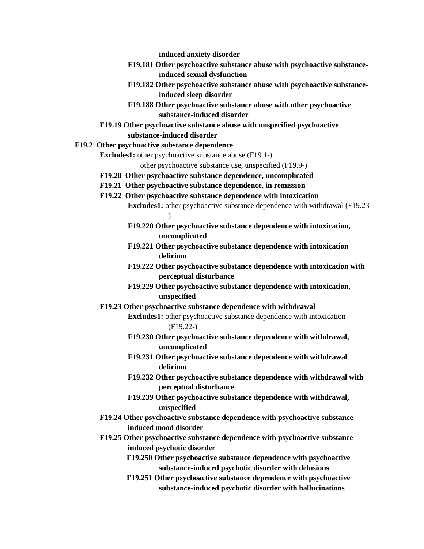**induced anxiety disorder**

- **F19.181 Other psychoactive substance abuse with psychoactive substanceinduced sexual dysfunction**
- **F19.182 Other psychoactive substance abuse with psychoactive substanceinduced sleep disorder**
- **F19.188 Other psychoactive substance abuse with other psychoactive substance-induced disorder**
- **F19.19 Other psychoactive substance abuse with unspecified psychoactive substance-induced disorder**
- **F19.2 Other psychoactive substance dependence**

**Excludes1:** other psychoactive substance abuse (F19.1-)

other psychoactive substance use, unspecified (F19.9-)

- **F19.20 Other psychoactive substance dependence, uncomplicated**
- **F19.21 Other psychoactive substance dependence, in remission**
- **F19.22 Other psychoactive substance dependence with intoxication Excludes1:** other psychoactive substance dependence with withdrawal (F19.23- )
	- **F19.220 Other psychoactive substance dependence with intoxication, uncomplicated**
	- **F19.221 Other psychoactive substance dependence with intoxication delirium**
	- **F19.222 Other psychoactive substance dependence with intoxication with perceptual disturbance**
	- **F19.229 Other psychoactive substance dependence with intoxication, unspecified**
- **F19.23 Other psychoactive substance dependence with withdrawal**
	- **Excludes1:** other psychoactive substance dependence with intoxication (F19.22-)
	- **F19.230 Other psychoactive substance dependence with withdrawal, uncomplicated**
	- **F19.231 Other psychoactive substance dependence with withdrawal delirium**
	- **F19.232 Other psychoactive substance dependence with withdrawal with perceptual disturbance**
	- **F19.239 Other psychoactive substance dependence with withdrawal, unspecified**
- **F19.24 Other psychoactive substance dependence with psychoactive substanceinduced mood disorder**
- **F19.25 Other psychoactive substance dependence with psychoactive substanceinduced psychotic disorder**
	- **F19.250 Other psychoactive substance dependence with psychoactive substance-induced psychotic disorder with delusions**
	- **F19.251 Other psychoactive substance dependence with psychoactive substance-induced psychotic disorder with hallucinations**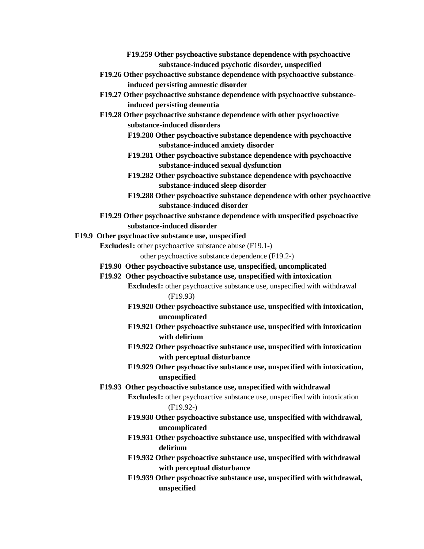- **F19.259 Other psychoactive substance dependence with psychoactive substance-induced psychotic disorder, unspecified**
- **F19.26 Other psychoactive substance dependence with psychoactive substanceinduced persisting amnestic disorder**
- **F19.27 Other psychoactive substance dependence with psychoactive substanceinduced persisting dementia**
- **F19.28 Other psychoactive substance dependence with other psychoactive substance-induced disorders**
	- **F19.280 Other psychoactive substance dependence with psychoactive substance-induced anxiety disorder**
	- **F19.281 Other psychoactive substance dependence with psychoactive substance-induced sexual dysfunction**
	- **F19.282 Other psychoactive substance dependence with psychoactive substance-induced sleep disorder**
	- **F19.288 Other psychoactive substance dependence with other psychoactive substance-induced disorder**
- **F19.29 Other psychoactive substance dependence with unspecified psychoactive substance-induced disorder**
- **F19.9 Other psychoactive substance use, unspecified**
	- **Excludes1:** other psychoactive substance abuse (F19.1-)

other psychoactive substance dependence (F19.2-)

- **F19.90 Other psychoactive substance use, unspecified, uncomplicated**
- **F19.92 Other psychoactive substance use, unspecified with intoxication**

**Excludes1:** other psychoactive substance use, unspecified with withdrawal (F19.93)

- **F19.920 Other psychoactive substance use, unspecified with intoxication, uncomplicated**
- **F19.921 Other psychoactive substance use, unspecified with intoxication with delirium**
- **F19.922 Other psychoactive substance use, unspecified with intoxication with perceptual disturbance**
- **F19.929 Other psychoactive substance use, unspecified with intoxication, unspecified**
- **F19.93 Other psychoactive substance use, unspecified with withdrawal**

**Excludes1:** other psychoactive substance use, unspecified with intoxication (F19.92-)

- **F19.930 Other psychoactive substance use, unspecified with withdrawal, uncomplicated**
- **F19.931 Other psychoactive substance use, unspecified with withdrawal delirium**
- **F19.932 Other psychoactive substance use, unspecified with withdrawal with perceptual disturbance**
- **F19.939 Other psychoactive substance use, unspecified with withdrawal, unspecified**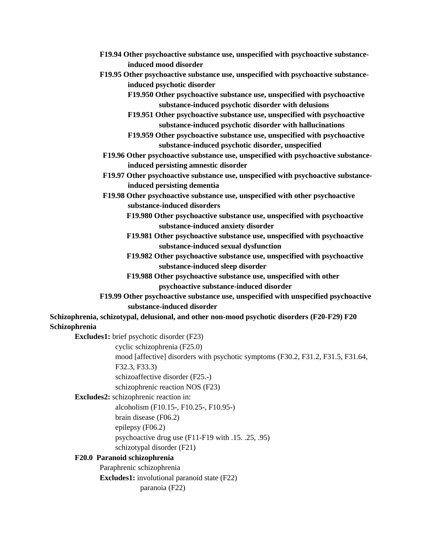- **F19.94 Other psychoactive substance use, unspecified with psychoactive substanceinduced mood disorder**
- <span id="page-23-0"></span>**F19.95 Other psychoactive substance use, unspecified with psychoactive substanceinduced psychotic disorder**
	- **F19.950 Other psychoactive substance use, unspecified with psychoactive substance-induced psychotic disorder with delusions**
	- **F19.951 Other psychoactive substance use, unspecified with psychoactive substance-induced psychotic disorder with hallucinations**
	- **F19.959 Other psychoactive substance use, unspecified with psychoactive substance-induced psychotic disorder, unspecified**
- **F19.96 Other psychoactive substance use, unspecified with psychoactive substanceinduced persisting amnestic disorder**
- **F19.97 Other psychoactive substance use, unspecified with psychoactive substanceinduced persisting dementia**
- **F19.98 Other psychoactive substance use, unspecified with other psychoactive substance-induced disorders**
	- **F19.980 Other psychoactive substance use, unspecified with psychoactive substance-induced anxiety disorder**
	- **F19.981 Other psychoactive substance use, unspecified with psychoactive substance-induced sexual dysfunction**
	- **F19.982 Other psychoactive substance use, unspecified with psychoactive substance-induced sleep disorder**
	- **F19.988 Other psychoactive substance use, unspecified with other psychoactive substance-induced disorder**
- **F19.99 Other psychoactive substance use, unspecified with unspecified psychoactive substance-induced disorder**

**Schizophrenia, schizotypal, delusional, and other non-mood psychotic disorders (F20-F29) F20 Schizophrenia**

**Excludes1:** brief psychotic disorder (F23)

cyclic schizophrenia (F25.0)

mood [affective] disorders with psychotic symptoms (F30.2, F31.2, F31.5, F31.64,

F32.3, F33.3)

schizoaffective disorder (F25.-)

schizophrenic reaction NOS (F23)

**Excludes2:** schizophrenic reaction in:

alcoholism (F10.15-, F10.25-, F10.95-)

brain disease (F06.2)

epilepsy (F06.2)

psychoactive drug use (F11-F19 with .15. .25, .95)

schizotypal disorder (F21)

# **F20.0 Paranoid schizophrenia**

Paraphrenic schizophrenia **Excludes1:** involutional paranoid state (F22) paranoia (F22)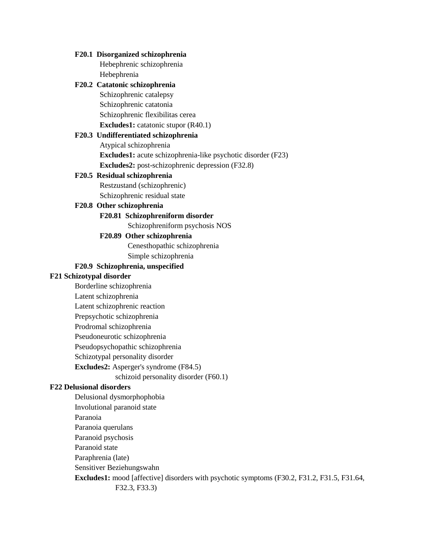# **F20.1 Disorganized schizophrenia** Hebephrenic schizophrenia Hebephrenia

### **F20.2 Catatonic schizophrenia**

Schizophrenic catalepsy Schizophrenic catatonia Schizophrenic flexibilitas cerea **Excludes1:** catatonic stupor (R40.1)

# **F20.3 Undifferentiated schizophrenia**

Atypical schizophrenia **Excludes1:** acute schizophrenia-like psychotic disorder (F23) **Excludes2:** post-schizophrenic depression (F32.8)

### **F20.5 Residual schizophrenia**

Restzustand (schizophrenic) Schizophrenic residual state

### **F20.8 Other schizophrenia**

# **F20.81 Schizophreniform disorder**

Schizophreniform psychosis NOS

# **F20.89 Other schizophrenia**

Cenesthopathic schizophrenia Simple schizophrenia

### **F20.9 Schizophrenia, unspecified**

### **F21 Schizotypal disorder**

- Borderline schizophrenia
- Latent schizophrenia
- Latent schizophrenic reaction
- Prepsychotic schizophrenia
- Prodromal schizophrenia
- Pseudoneurotic schizophrenia
- Pseudopsychopathic schizophrenia
- Schizotypal personality disorder
- **Excludes2:** Asperger's syndrome (F84.5)
	- schizoid personality disorder (F60.1)

# **F22 Delusional disorders**

Delusional dysmorphophobia Involutional paranoid state Paranoia Paranoia querulans Paranoid psychosis Paranoid state Paraphrenia (late) Sensitiver Beziehungswahn **Excludes1:** mood [affective] disorders with psychotic symptoms (F30.2, F31.2, F31.5, F31.64, F32.3, F33.3)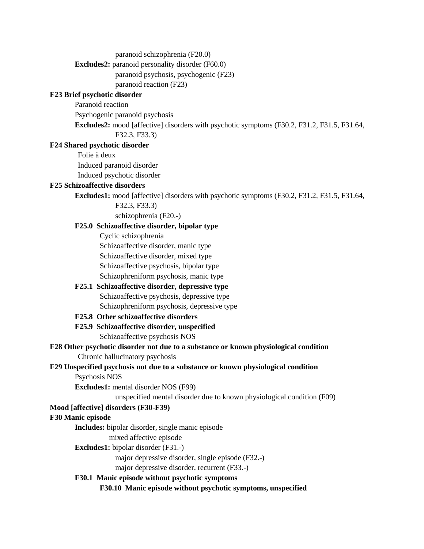paranoid schizophrenia (F20.0)

**Excludes2:** paranoid personality disorder (F60.0)

paranoid psychosis, psychogenic (F23)

paranoid reaction (F23)

# **F23 Brief psychotic disorder**

Paranoid reaction

Psychogenic paranoid psychosis

**Excludes2:** mood [affective] disorders with psychotic symptoms (F30.2, F31.2, F31.5, F31.64,

F32.3, F33.3)

# **F24 Shared psychotic disorder**

Folie à deux

Induced paranoid disorder

Induced psychotic disorder

# **F25 Schizoaffective disorders**

**Excludes1:** mood [affective] disorders with psychotic symptoms (F30.2, F31.2, F31.5, F31.64,

F32.3, F33.3)

schizophrenia (F20.-)

# **F25.0 Schizoaffective disorder, bipolar type**

Cyclic schizophrenia

Schizoaffective disorder, manic type

Schizoaffective disorder, mixed type

Schizoaffective psychosis, bipolar type

Schizophreniform psychosis, manic type

<span id="page-25-0"></span>**F25.1 Schizoaffective disorder, depressive type** Schizoaffective psychosis, depressive type Schizophreniform psychosis, depressive type

# **F25.8 Other schizoaffective disorders**

**F25.9 Schizoaffective disorder, unspecified** Schizoaffective psychosis NOS

# **F28 Other psychotic disorder not due to a substance or known physiological condition** Chronic hallucinatory psychosis

# **F29 Unspecified psychosis not due to a substance or known physiological condition**

Psychosis NOS

**Excludes1:** mental disorder NOS (F99)

unspecified mental disorder due to known physiological condition (F09)

# **Mood [affective] disorders (F30-F39)**

# **F30 Manic episode**

**Includes:** bipolar disorder, single manic episode

mixed affective episode

**Excludes1:** bipolar disorder (F31.-)

major depressive disorder, single episode (F32.-)

major depressive disorder, recurrent (F33.-)

# **F30.1 Manic episode without psychotic symptoms**

**F30.10 Manic episode without psychotic symptoms, unspecified**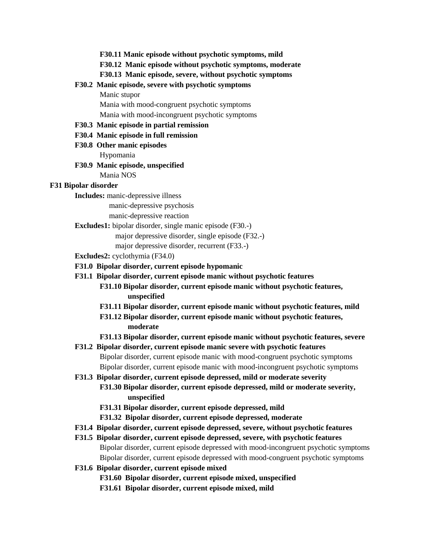**F30.11 Manic episode without psychotic symptoms, mild**

**F30.12 Manic episode without psychotic symptoms, moderate**

**F30.13 Manic episode, severe, without psychotic symptoms**

### **F30.2 Manic episode, severe with psychotic symptoms**

Manic stupor

Mania with mood-congruent psychotic symptoms Mania with mood-incongruent psychotic symptoms

#### **F30.3 Manic episode in partial remission**

- **F30.4 Manic episode in full remission**
- **F30.8 Other manic episodes** Hypomania
- **F30.9 Manic episode, unspecified** Mania NOS

#### **F31 Bipolar disorder**

**Includes:** manic-depressive illness

manic-depressive psychosis

manic-depressive reaction

- **Excludes1:** bipolar disorder, single manic episode (F30.-)
	- major depressive disorder, single episode (F32.-)
	- major depressive disorder, recurrent (F33.-)
- **Excludes2:** cyclothymia (F34.0)
- **F31.0 Bipolar disorder, current episode hypomanic**
- **F31.1 Bipolar disorder, current episode manic without psychotic features**
	- **F31.10 Bipolar disorder, current episode manic without psychotic features, unspecified**
	- **F31.11 Bipolar disorder, current episode manic without psychotic features, mild**
	- **F31.12 Bipolar disorder, current episode manic without psychotic features, moderate**
	- **F31.13 Bipolar disorder, current episode manic without psychotic features, severe**
- **F31.2 Bipolar disorder, current episode manic severe with psychotic features** Bipolar disorder, current episode manic with mood-congruent psychotic symptoms Bipolar disorder, current episode manic with mood-incongruent psychotic symptoms
- **F31.3 Bipolar disorder, current episode depressed, mild or moderate severity**
	- **F31.30 Bipolar disorder, current episode depressed, mild or moderate severity, unspecified**
	- **F31.31 Bipolar disorder, current episode depressed, mild**
	- **F31.32 Bipolar disorder, current episode depressed, moderate**
- **F31.4 Bipolar disorder, current episode depressed, severe, without psychotic features**
- **F31.5 Bipolar disorder, current episode depressed, severe, with psychotic features** Bipolar disorder, current episode depressed with mood-incongruent psychotic symptoms Bipolar disorder, current episode depressed with mood-congruent psychotic symptoms
- **F31.6 Bipolar disorder, current episode mixed**
	- **F31.60 Bipolar disorder, current episode mixed, unspecified**
	- **F31.61 Bipolar disorder, current episode mixed, mild**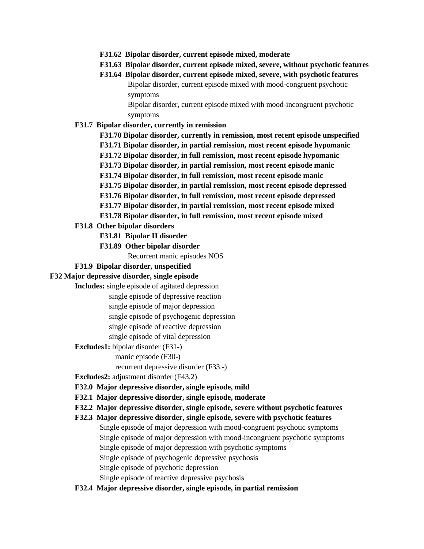- **F31.62 Bipolar disorder, current episode mixed, moderate**
- **F31.63 Bipolar disorder, current episode mixed, severe, without psychotic features**

# **F31.64 Bipolar disorder, current episode mixed, severe, with psychotic features** Bipolar disorder, current episode mixed with mood-congruent psychotic symptoms

Bipolar disorder, current episode mixed with mood-incongruent psychotic symptoms

#### **F31.7 Bipolar disorder, currently in remission**

**F31.70 Bipolar disorder, currently in remission, most recent episode unspecified F31.71 Bipolar disorder, in partial remission, most recent episode hypomanic F31.72 Bipolar disorder, in full remission, most recent episode hypomanic F31.73 Bipolar disorder, in partial remission, most recent episode manic F31.74 Bipolar disorder, in full remission, most recent episode manic F31.75 Bipolar disorder, in partial remission, most recent episode depressed F31.76 Bipolar disorder, in full remission, most recent episode depressed F31.77 Bipolar disorder, in partial remission, most recent episode mixed**

**F31.78 Bipolar disorder, in full remission, most recent episode mixed**

### **F31.8 Other bipolar disorders**

- **F31.81 Bipolar II disorder**
- **F31.89 Other bipolar disorder**

Recurrent manic episodes NOS

#### **F31.9 Bipolar disorder, unspecified**

### **F32 Major depressive disorder, single episode**

**Includes:** single episode of agitated depression

single episode of depressive reaction

single episode of major depression

single episode of psychogenic depression

single episode of reactive depression

single episode of vital depression

**Excludes1:** bipolar disorder (F31-)

manic episode (F30-)

recurrent depressive disorder (F33.-)

**Excludes2:** adjustment disorder (F43.2)

- **F32.0 Major depressive disorder, single episode, mild**
- **F32.1 Major depressive disorder, single episode, moderate**

# **F32.2 Major depressive disorder, single episode, severe without psychotic features**

**F32.3 Major depressive disorder, single episode, severe with psychotic features** Single episode of major depression with mood-congruent psychotic symptoms Single episode of major depression with mood-incongruent psychotic symptoms Single episode of major depression with psychotic symptoms Single episode of psychogenic depressive psychosis Single episode of psychotic depression Single episode of reactive depressive psychosis

**F32.4 Major depressive disorder, single episode, in partial remission**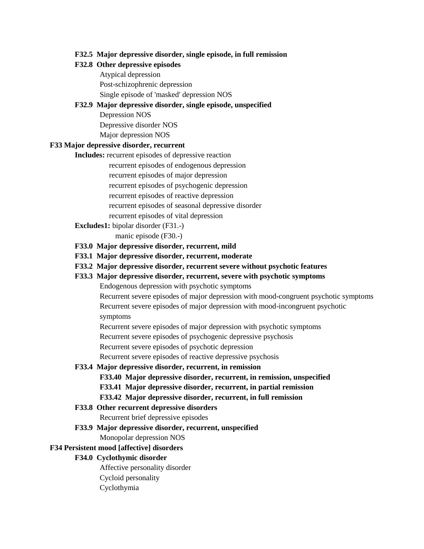#### **F32.5 Major depressive disorder, single episode, in full remission**

#### **F32.8 Other depressive episodes**

Atypical depression Post-schizophrenic depression Single episode of 'masked' depression NOS

### **F32.9 Major depressive disorder, single episode, unspecified**

Depression NOS Depressive disorder NOS Major depression NOS

## **F33 Major depressive disorder, recurrent**

**Includes:** recurrent episodes of depressive reaction

recurrent episodes of endogenous depression recurrent episodes of major depression recurrent episodes of psychogenic depression recurrent episodes of reactive depression recurrent episodes of seasonal depressive disorder recurrent episodes of vital depression

**Excludes1:** bipolar disorder (F31.-)

manic episode (F30.-)

- **F33.0 Major depressive disorder, recurrent, mild**
- **F33.1 Major depressive disorder, recurrent, moderate**
- **F33.2 Major depressive disorder, recurrent severe without psychotic features**
- **F33.3 Major depressive disorder, recurrent, severe with psychotic symptoms**

Endogenous depression with psychotic symptoms

Recurrent severe episodes of major depression with mood-congruent psychotic symptoms Recurrent severe episodes of major depression with mood-incongruent psychotic symptoms

Recurrent severe episodes of major depression with psychotic symptoms

Recurrent severe episodes of psychogenic depressive psychosis

Recurrent severe episodes of psychotic depression

Recurrent severe episodes of reactive depressive psychosis

### **F33.4 Major depressive disorder, recurrent, in remission**

- **F33.40 Major depressive disorder, recurrent, in remission, unspecified**
- **F33.41 Major depressive disorder, recurrent, in partial remission**
- **F33.42 Major depressive disorder, recurrent, in full remission**

## **F33.8 Other recurrent depressive disorders**

Recurrent brief depressive episodes

#### **F33.9 Major depressive disorder, recurrent, unspecified**

Monopolar depression NOS

#### <span id="page-28-0"></span>**F34 Persistent mood [affective] disorders**

#### **F34.0 Cyclothymic disorder**

Affective personality disorder Cycloid personality Cyclothymia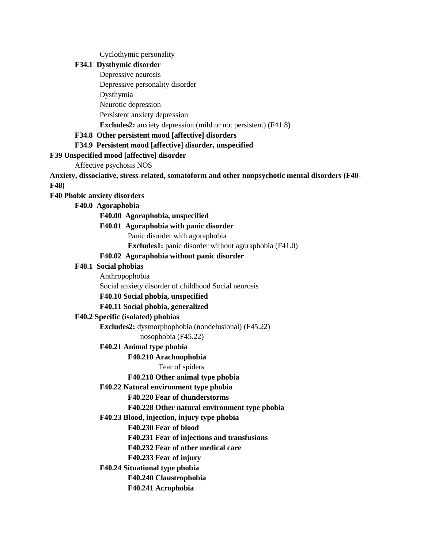Cyclothymic personality

# **F34.1 Dysthymic disorder**

Depressive neurosis

Depressive personality disorder

Dysthymia

Neurotic depression

Persistent anxiety depression

**Excludes2:** anxiety depression (mild or not persistent) (F41.8)

**F34.8 Other persistent mood [affective] disorders**

**F34.9 Persistent mood [affective] disorder, unspecified**

#### **F39 Unspecified mood [affective] disorder**

Affective psychosis NOS

**Anxiety, dissociative, stress-related, somatoform and other nonpsychotic mental disorders (F40-**

**F48)**

#### **F40 Phobic anxiety disorders**

**F40.0 Agoraphobia**

**F40.00 Agoraphobia, unspecified**

#### **F40.01 Agoraphobia with panic disorder**

Panic disorder with agoraphobia

**Excludes1:** panic disorder without agoraphobia (F41.0)

### **F40.02 Agoraphobia without panic disorder**

#### **F40.1 Social phobias**

Anthropophobia

Social anxiety disorder of childhood Social neurosis

# **F40.10 Social phobia, unspecified**

# **F40.11 Social phobia, generalized**

### **F40.2 Specific (isolated) phobias**

**Excludes2:** dysmorphophobia (nondelusional) (F45.22)

nosophobia (F45.22)

### **F40.21 Animal type phobia**

#### **F40.210 Arachnophobia**

Fear of spiders

### **F40.218 Other animal type phobia**

### **F40.22 Natural environment type phobia**

### **F40.220 Fear of thunderstorms**

**F40.228 Other natural environment type phobia**

### **F40.23 Blood, injection, injury type phobia**

**F40.230 Fear of blood**

**F40.231 Fear of injections and transfusions**

**F40.232 Fear of other medical care**

### **F40.233 Fear of injury**

**F40.24 Situational type phobia**

**F40.240 Claustrophobia**

**F40.241 Acrophobia**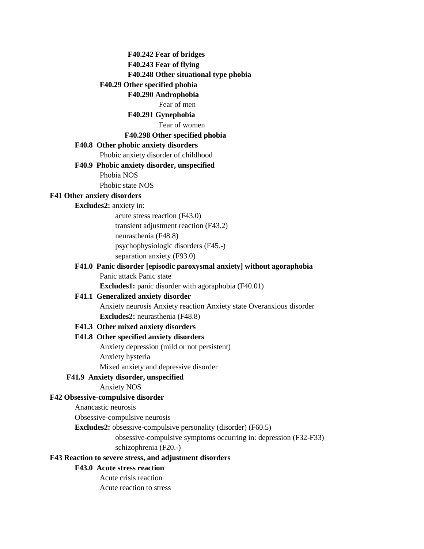#### **F40.242 Fear of bridges**

**F40.243 Fear of flying**

#### **F40.248 Other situational type phobia**

#### **F40.29 Other specified phobia**

### **F40.290 Androphobia**

#### Fear of men

### **F40.291 Gynephobia**

#### Fear of women

### **F40.298 Other specified phobia**

#### **F40.8 Other phobic anxiety disorders**

Phobic anxiety disorder of childhood

#### **F40.9 Phobic anxiety disorder, unspecified**

Phobia NOS

Phobic state NOS

#### **F41 Other anxiety disorders**

### **Excludes2:** anxiety in:

acute stress reaction (F43.0) transient adjustment reaction (F43.2) neurasthenia (F48.8) psychophysiologic disorders (F45.-) separation anxiety (F93.0)

#### **F41.0 Panic disorder [episodic paroxysmal anxiety] without agoraphobia** Panic attack Panic state

**Excludes1:** panic disorder with agoraphobia (F40.01)

### **F41.1 Generalized anxiety disorder**

Anxiety neurosis Anxiety reaction Anxiety state Overanxious disorder **Excludes2:** neurasthenia (F48.8)

### **F41.3 Other mixed anxiety disorders**

### **F41.8 Other specified anxiety disorders**

Anxiety depression (mild or not persistent) Anxiety hysteria

Mixed anxiety and depressive disorder

# **F41.9 Anxiety disorder, unspecified**

Anxiety NOS

## **F42 Obsessive-compulsive disorder**

Anancastic neurosis

Obsessive-compulsive neurosis

**Excludes2:** obsessive-compulsive personality (disorder) (F60.5)

obsessive-compulsive symptoms occurring in: depression (F32-F33)

schizophrenia (F20.-)

# **F43 Reaction to severe stress, and adjustment disorders**

### **F43.0 Acute stress reaction**

Acute crisis reaction Acute reaction to stress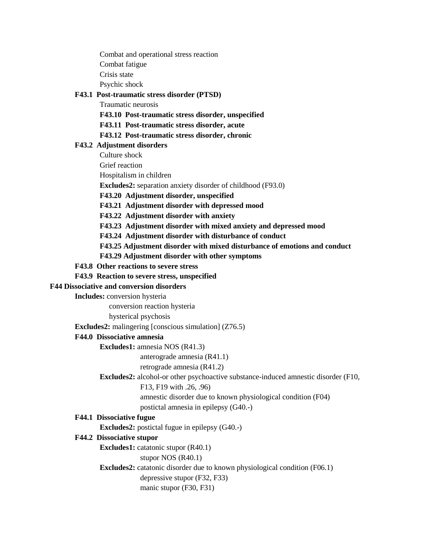Combat and operational stress reaction

Combat fatigue

Crisis state

Psychic shock

# **F43.1 Post-traumatic stress disorder (PTSD)**

Traumatic neurosis

**F43.10 Post-traumatic stress disorder, unspecified**

**F43.11 Post-traumatic stress disorder, acute**

# **F43.12 Post-traumatic stress disorder, chronic**

# **F43.2 Adjustment disorders**

Culture shock

Grief reaction

Hospitalism in children

**Excludes2:** separation anxiety disorder of childhood (F93.0)

**F43.20 Adjustment disorder, unspecified**

**F43.21 Adjustment disorder with depressed mood**

**F43.22 Adjustment disorder with anxiety**

**F43.23 Adjustment disorder with mixed anxiety and depressed mood**

**F43.24 Adjustment disorder with disturbance of conduct**

**F43.25 Adjustment disorder with mixed disturbance of emotions and conduct**

**F43.29 Adjustment disorder with other symptoms**

## **F43.8 Other reactions to severe stress**

**F43.9 Reaction to severe stress, unspecified**

# **F44 Dissociative and conversion disorders**

**Includes:** conversion hysteria

conversion reaction hysteria

hysterical psychosis

**Excludes2:** malingering [conscious simulation] (Z76.5)

# **F44.0 Dissociative amnesia**

**Excludes1:** amnesia NOS (R41.3)

anterograde amnesia (R41.1)

# retrograde amnesia (R41.2)

**Excludes2:** alcohol-or other psychoactive substance-induced amnestic disorder (F10,

F13, F19 with .26, .96)

amnestic disorder due to known physiological condition (F04)

postictal amnesia in epilepsy (G40.-)

# **F44.1 Dissociative fugue**

**Excludes2:** postictal fugue in epilepsy (G40.-)

# **F44.2 Dissociative stupor**

**Excludes1:** catatonic stupor (R40.1)

stupor NOS (R40.1)

**Excludes2:** catatonic disorder due to known physiological condition (F06.1) depressive stupor (F32, F33)

manic stupor (F30, F31)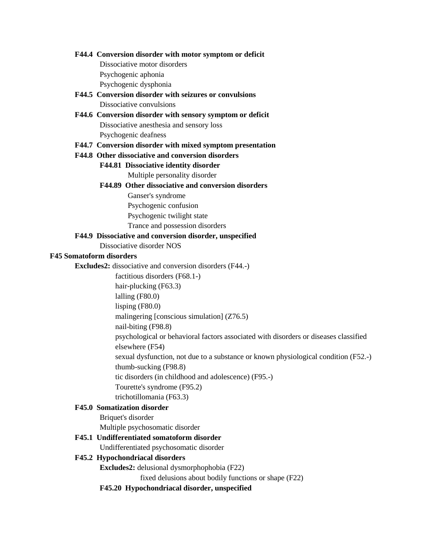#### **F44.4 Conversion disorder with motor symptom or deficit**

Dissociative motor disorders Psychogenic aphonia

Psychogenic dysphonia

# **F44.5 Conversion disorder with seizures or convulsions** Dissociative convulsions

# **F44.6 Conversion disorder with sensory symptom or deficit** Dissociative anesthesia and sensory loss Psychogenic deafness

### **F44.7 Conversion disorder with mixed symptom presentation**

#### **F44.8 Other dissociative and conversion disorders**

# **F44.81 Dissociative identity disorder**

Multiple personality disorder

#### **F44.89 Other dissociative and conversion disorders**

Ganser's syndrome

Psychogenic confusion

Psychogenic twilight state

Trance and possession disorders

## **F44.9 Dissociative and conversion disorder, unspecified**

Dissociative disorder NOS

## **F45 Somatoform disorders**

**Excludes2:** dissociative and conversion disorders (F44.-)

factitious disorders (F68.1-)

hair-plucking (F63.3)

lalling (F80.0)

lisping (F80.0)

malingering [conscious simulation] (Z76.5)

nail-biting (F98.8)

psychological or behavioral factors associated with disorders or diseases classified elsewhere (F54)

sexual dysfunction, not due to a substance or known physiological condition (F52.-) thumb-sucking (F98.8)

tic disorders (in childhood and adolescence) (F95.-)

Tourette's syndrome (F95.2)

trichotillomania (F63.3)

### **F45.0 Somatization disorder**

Briquet's disorder Multiple psychosomatic disorder

### **F45.1 Undifferentiated somatoform disorder**

Undifferentiated psychosomatic disorder

### **F45.2 Hypochondriacal disorders**

**Excludes2:** delusional dysmorphophobia (F22)

fixed delusions about bodily functions or shape (F22)

**F45.20 Hypochondriacal disorder, unspecified**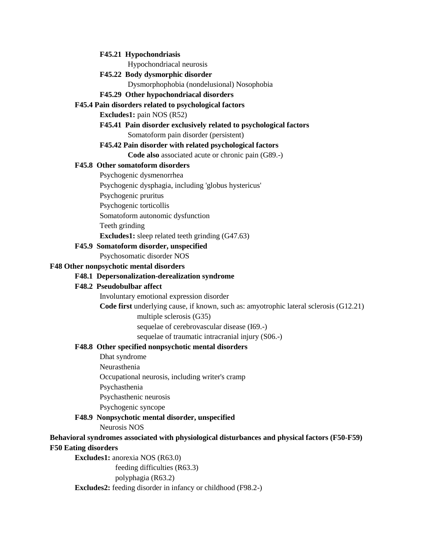#### **F45.21 Hypochondriasis**

Hypochondriacal neurosis

#### **F45.22 Body dysmorphic disorder**

Dysmorphophobia (nondelusional) Nosophobia

#### **F45.29 Other hypochondriacal disorders**

#### <span id="page-33-0"></span>**F45.4 Pain disorders related to psychological factors**

**Excludes1:** pain NOS (R52)

### **F45.41 Pain disorder exclusively related to psychological factors** Somatoform pain disorder (persistent)

# **F45.42 Pain disorder with related psychological factors**

**Code also** associated acute or chronic pain (G89.-)

### **F45.8 Other somatoform disorders**

Psychogenic dysmenorrhea

Psychogenic dysphagia, including 'globus hystericus'

Psychogenic pruritus

Psychogenic torticollis

Somatoform autonomic dysfunction

Teeth grinding

**Excludes1:** sleep related teeth grinding (G47.63)

#### **F45.9 Somatoform disorder, unspecified**

Psychosomatic disorder NOS

#### **F48 Other nonpsychotic mental disorders**

### **F48.1 Depersonalization-derealization syndrome**

### **F48.2 Pseudobulbar affect**

Involuntary emotional expression disorder

**Code first** underlying cause, if known, such as: amyotrophic lateral sclerosis (G12.21)

multiple sclerosis (G35)

sequelae of cerebrovascular disease (I69.-)

sequelae of traumatic intracranial injury (S06.-)

# **F48.8 Other specified nonpsychotic mental disorders**

Dhat syndrome

Neurasthenia

Occupational neurosis, including writer's cramp

Psychasthenia

Psychasthenic neurosis

Psychogenic syncope

## **F48.9 Nonpsychotic mental disorder, unspecified**

Neurosis NOS

# **Behavioral syndromes associated with physiological disturbances and physical factors (F50-F59) F50 Eating disorders**

**Excludes1:** anorexia NOS (R63.0)

feeding difficulties (R63.3)

polyphagia (R63.2)

**Excludes2:** feeding disorder in infancy or childhood (F98.2-)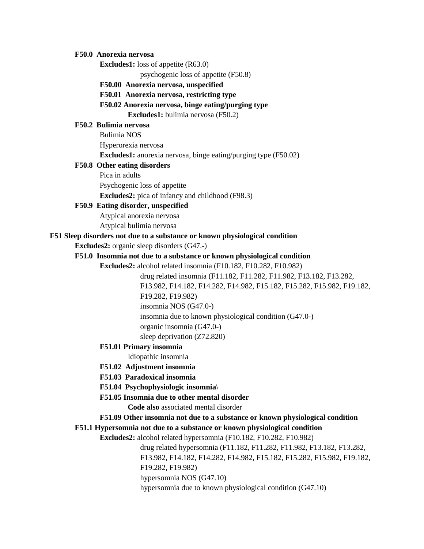#### **F50.0 Anorexia nervosa**

**Excludes1:** loss of appetite (R63.0)

psychogenic loss of appetite (F50.8)

**F50.00 Anorexia nervosa, unspecified**

**F50.01 Anorexia nervosa, restricting type**

#### **F50.02 Anorexia nervosa, binge eating/purging type**

**Excludes1:** bulimia nervosa (F50.2)

#### **F50.2 Bulimia nervosa**

Bulimia NOS Hyperorexia nervosa **Excludes1:** anorexia nervosa, binge eating/purging type (F50.02)

#### **F50.8 Other eating disorders**

Pica in adults Psychogenic loss of appetite

**Excludes2:** pica of infancy and childhood (F98.3)

#### **F50.9 Eating disorder, unspecified**

Atypical anorexia nervosa Atypical bulimia nervosa

#### **F51 Sleep disorders not due to a substance or known physiological condition**

**Excludes2:** organic sleep disorders (G47.-)

#### **F51.0 Insomnia not due to a substance or known physiological condition**

**Excludes2:** alcohol related insomnia (F10.182, F10.282, F10.982)

drug related insomnia (F11.182, F11.282, F11.982, F13.182, F13.282, F13.982, F14.182, F14.282, F14.982, F15.182, F15.282, F15.982, F19.182, F19.282, F19.982) insomnia NOS (G47.0-) insomnia due to known physiological condition (G47.0-) organic insomnia (G47.0-) sleep deprivation (Z72.820)

# **F51.01 Primary insomnia**

Idiopathic insomnia

# **F51.02 Adjustment insomnia**

- **F51.03 Paradoxical insomnia**
- **F51.04 Psychophysiologic insomnia**\
- **F51.05 Insomnia due to other mental disorder**

**Code also** associated mental disorder

#### **F51.09 Other insomnia not due to a substance or known physiological condition**

**F51.1 Hypersomnia not due to a substance or known physiological condition**

**Excludes2:** alcohol related hypersomnia (F10.182, F10.282, F10.982)

drug related hypersomnia (F11.182, F11.282, F11.982, F13.182, F13.282, F13.982, F14.182, F14.282, F14.982, F15.182, F15.282, F15.982, F19.182,

F19.282, F19.982)

hypersomnia NOS (G47.10)

hypersomnia due to known physiological condition (G47.10)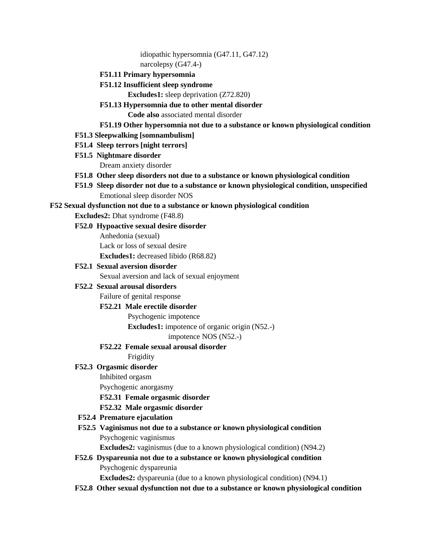idiopathic hypersomnia (G47.11, G47.12)

narcolepsy (G47.4-)

**F51.11 Primary hypersomnia**

# **F51.12 Insufficient sleep syndrome**

**Excludes1:** sleep deprivation (Z72.820)

**F51.13 Hypersomnia due to other mental disorder**

**Code also** associated mental disorder

- **F51.19 Other hypersomnia not due to a substance or known physiological condition**
- **F51.3 Sleepwalking [somnambulism]**
- **F51.4 Sleep terrors [night terrors]**
- **F51.5 Nightmare disorder**

Dream anxiety disorder

- **F51.8 Other sleep disorders not due to a substance or known physiological condition**
- **F51.9 Sleep disorder not due to a substance or known physiological condition, unspecified** Emotional sleep disorder NOS

**F52 Sexual dysfunction not due to a substance or known physiological condition**

**Excludes2:** Dhat syndrome (F48.8)

**F52.0 Hypoactive sexual desire disorder**

Anhedonia (sexual)

Lack or loss of sexual desire

**Excludes1:** decreased libido (R68.82)

# **F52.1 Sexual aversion disorder**

Sexual aversion and lack of sexual enjoyment

# **F52.2 Sexual arousal disorders**

Failure of genital response

# **F52.21 Male erectile disorder**

Psychogenic impotence

**Excludes1:** impotence of organic origin (N52.-)

impotence NOS (N52.-)

# **F52.22 Female sexual arousal disorder**

Frigidity

# **F52.3 Orgasmic disorder**

Inhibited orgasm

Psychogenic anorgasmy

**F52.31 Female orgasmic disorder**

# **F52.32 Male orgasmic disorder**

- **F52.4 Premature ejaculation**
- **F52.5 Vaginismus not due to a substance or known physiological condition** Psychogenic vaginismus

**Excludes2:** vaginismus (due to a known physiological condition) (N94.2)

**F52.6 Dyspareunia not due to a substance or known physiological condition** Psychogenic dyspareunia

**Excludes2:** dyspareunia (due to a known physiological condition) (N94.1)

**F52.8 Other sexual dysfunction not due to a substance or known physiological condition**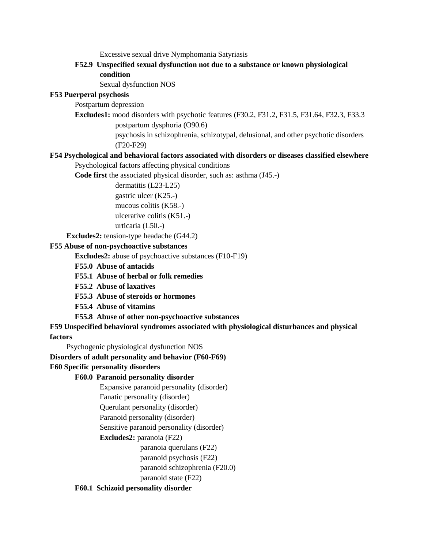Excessive sexual drive Nymphomania Satyriasis

**F52.9 Unspecified sexual dysfunction not due to a substance or known physiological condition**

Sexual dysfunction NOS

### **F53 Puerperal psychosis**

Postpartum depression

**Excludes1:** mood disorders with psychotic features (F30.2, F31.2, F31.5, F31.64, F32.3, F33.3 postpartum dysphoria (O90.6)

> psychosis in schizophrenia, schizotypal, delusional, and other psychotic disorders (F20-F29)

### **F54 Psychological and behavioral factors associated with disorders or diseases classified elsewhere**

Psychological factors affecting physical conditions

**Code first** the associated physical disorder, such as: asthma (J45.-)

<span id="page-36-0"></span>dermatitis (L23-L25) gastric ulcer (K25.-) mucous colitis (K58.-) ulcerative colitis (K51.-) urticaria (L50.-)

**Excludes2:** tension-type headache (G44.2)

#### **F55 Abuse of non-psychoactive substances**

**Excludes2:** abuse of psychoactive substances (F10-F19)

- **F55.0 Abuse of antacids**
- **F55.1 Abuse of herbal or folk remedies**
- **F55.2 Abuse of laxatives**
- **F55.3 Abuse of steroids or hormones**
- **F55.4 Abuse of vitamins**
- **F55.8 Abuse of other non-psychoactive substances**

#### **F59 Unspecified behavioral syndromes associated with physiological disturbances and physical**

#### **factors**

Psychogenic physiological dysfunction NOS

#### **Disorders of adult personality and behavior (F60-F69)**

#### **F60 Specific personality disorders**

#### **F60.0 Paranoid personality disorder**

Expansive paranoid personality (disorder)

Fanatic personality (disorder)

Querulant personality (disorder)

Paranoid personality (disorder)

Sensitive paranoid personality (disorder)

**Excludes2:** paranoia (F22)

paranoia querulans (F22)

paranoid psychosis (F22)

paranoid schizophrenia (F20.0)

paranoid state (F22)

### **F60.1 Schizoid personality disorder**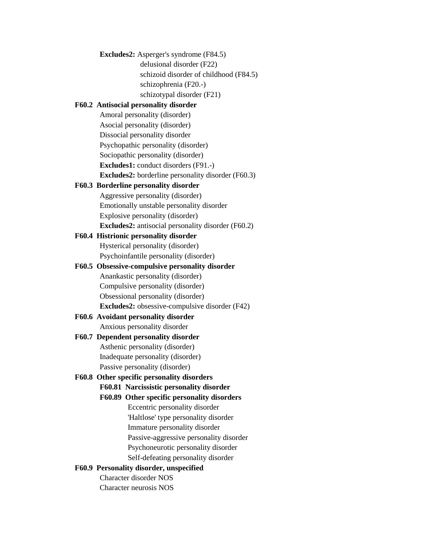**Excludes2:** Asperger's syndrome (F84.5) delusional disorder (F22) schizoid disorder of childhood (F84.5) schizophrenia (F20.-) schizotypal disorder (F21) **F60.2 Antisocial personality disorder** Amoral personality (disorder) Asocial personality (disorder) Dissocial personality disorder Psychopathic personality (disorder) Sociopathic personality (disorder) **Excludes1:** conduct disorders (F91.-) **Excludes2:** borderline personality disorder (F60.3) **F60.3 Borderline personality disorder** Aggressive personality (disorder) Emotionally unstable personality disorder Explosive personality (disorder) **Excludes2:** antisocial personality disorder (F60.2) **F60.4 Histrionic personality disorder** Hysterical personality (disorder) Psychoinfantile personality (disorder) **F60.5 Obsessive-compulsive personality disorder** Anankastic personality (disorder) Compulsive personality (disorder) Obsessional personality (disorder) **Excludes2:** obsessive-compulsive disorder (F42) **F60.6 Avoidant personality disorder** Anxious personality disorder **F60.7 Dependent personality disorder** Asthenic personality (disorder) Inadequate personality (disorder) Passive personality (disorder) **F60.8 Other specific personality disorders F60.81 Narcissistic personality disorder F60.89 Other specific personality disorders** Eccentric personality disorder 'Haltlose' type personality disorder Immature personality disorder Passive-aggressive personality disorder Psychoneurotic personality disorder Self-defeating personality disorder **F60.9 Personality disorder, unspecified** Character disorder NOS Character neurosis NOS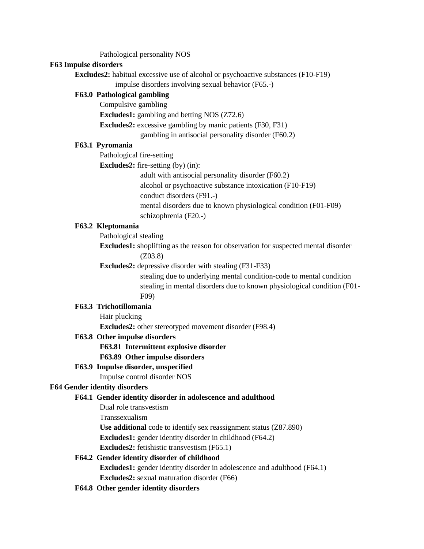Pathological personality NOS

#### **F63 Impulse disorders**

**Excludes2:** habitual excessive use of alcohol or psychoactive substances (F10-F19)

impulse disorders involving sexual behavior (F65.-)

#### **F63.0 Pathological gambling**

Compulsive gambling

**Excludes1:** gambling and betting NOS (Z72.6)

**Excludes2:** excessive gambling by manic patients (F30, F31)

gambling in antisocial personality disorder (F60.2)

# **F63.1 Pyromania**

Pathological fire-setting

**Excludes2:** fire-setting (by) (in):

adult with antisocial personality disorder (F60.2)

alcohol or psychoactive substance intoxication (F10-F19)

conduct disorders (F91.-)

mental disorders due to known physiological condition (F01-F09)

schizophrenia (F20.-)

### **F63.2 Kleptomania**

Pathological stealing

**Excludes1:** shoplifting as the reason for observation for suspected mental disorder (Z03.8)

**Excludes2:** depressive disorder with stealing (F31-F33)

stealing due to underlying mental condition-code to mental condition stealing in mental disorders due to known physiological condition (F01- F09)

#### **F63.3 Trichotillomania**

Hair plucking

**Excludes2:** other stereotyped movement disorder (F98.4)

#### **F63.8 Other impulse disorders**

**F63.81 Intermittent explosive disorder**

#### **F63.89 Other impulse disorders**

# **F63.9 Impulse disorder, unspecified**

Impulse control disorder NOS

#### **F64 Gender identity disorders**

#### **F64.1 Gender identity disorder in adolescence and adulthood**

Dual role transvestism

Transsexualism

**Use additional** code to identify sex reassignment status (Z87.890)

**Excludes1:** gender identity disorder in childhood (F64.2)

**Excludes2:** fetishistic transvestism (F65.1)

# **F64.2 Gender identity disorder of childhood**

**Excludes1:** gender identity disorder in adolescence and adulthood (F64.1) **Excludes2:** sexual maturation disorder (F66)

**F64.8 Other gender identity disorders**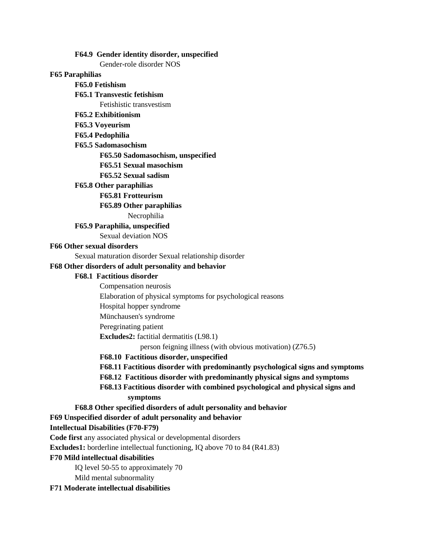**F64.9 Gender identity disorder, unspecified**

Gender-role disorder NOS

### **F65 Paraphilias**

# **F65.0 Fetishism**

## **F65.1 Transvestic fetishism**

Fetishistic transvestism

**F65.2 Exhibitionism**

# **F65.3 Voyeurism**

# **F65.4 Pedophilia**

**F65.5 Sadomasochism**

### **F65.50 Sadomasochism, unspecified**

**F65.51 Sexual masochism**

# **F65.52 Sexual sadism**

**F65.8 Other paraphilias**

## **F65.81 Frotteurism**

## **F65.89 Other paraphilias**

Necrophilia

# **F65.9 Paraphilia, unspecified**

Sexual deviation NOS

#### **F66 Other sexual disorders**

Sexual maturation disorder Sexual relationship disorder

## **F68 Other disorders of adult personality and behavior**

# **F68.1 Factitious disorder**

Compensation neurosis

Elaboration of physical symptoms for psychological reasons

Hospital hopper syndrome

Münchausen's syndrome

Peregrinating patient

<span id="page-39-0"></span>**Excludes2:** factitial dermatitis (L98.1)

person feigning illness (with obvious motivation) (Z76.5)

# **F68.10 Factitious disorder, unspecified**

**F68.11 Factitious disorder with predominantly psychological signs and symptoms**

### **F68.12 Factitious disorder with predominantly physical signs and symptoms**

**F68.13 Factitious disorder with combined psychological and physical signs and symptoms**

# **F68.8 Other specified disorders of adult personality and behavior**

# **F69 Unspecified disorder of adult personality and behavior**

# **Intellectual Disabilities (F70-F79)**

**Code first** any associated physical or developmental disorders

**Excludes1:** borderline intellectual functioning, IQ above 70 to 84 (R41.83)

### **F70 Mild intellectual disabilities**

IQ level 50-55 to approximately 70

Mild mental subnormality

# **F71 Moderate intellectual disabilities**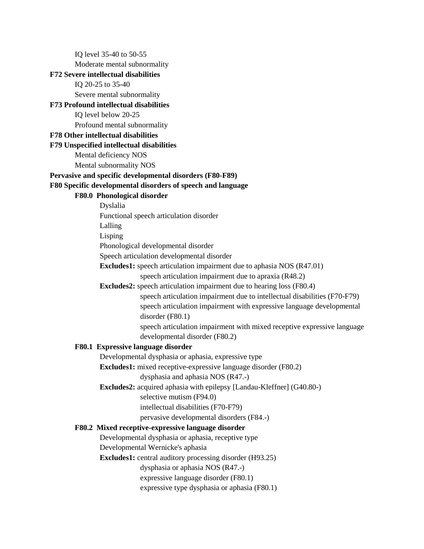IQ level 35-40 to 50-55 Moderate mental subnormality **F72 Severe intellectual disabilities** IQ 20-25 to 35-40 Severe mental subnormality **F73 Profound intellectual disabilities** IQ level below 20-25 Profound mental subnormality **F78 Other intellectual disabilities F79 Unspecified intellectual disabilities** Mental deficiency NOS Mental subnormality NOS **Pervasive and specific developmental disorders (F80-F89) F80 Specific developmental disorders of speech and language F80.0 Phonological disorder** Dyslalia Functional speech articulation disorder Lalling Lisping Phonological developmental disorder Speech articulation developmental disorder **Excludes1:** speech articulation impairment due to aphasia NOS (R47.01) speech articulation impairment due to apraxia (R48.2) **Excludes2:** speech articulation impairment due to hearing loss (F80.4) speech articulation impairment due to intellectual disabilities (F70-F79) speech articulation impairment with expressive language developmental disorder (F80.1) speech articulation impairment with mixed receptive expressive language developmental disorder (F80.2) **F80.1 Expressive language disorder** Developmental dysphasia or aphasia, expressive type **Excludes1:** mixed receptive-expressive language disorder (F80.2) dysphasia and aphasia NOS (R47.-) **Excludes2:** acquired aphasia with epilepsy [Landau-Kleffner] (G40.80-) selective mutism (F94.0) intellectual disabilities (F70-F79) pervasive developmental disorders (F84.-) **F80.2 Mixed receptive-expressive language disorder** Developmental dysphasia or aphasia, receptive type Developmental Wernicke's aphasia **Excludes1:** central auditory processing disorder (H93.25) dysphasia or aphasia NOS (R47.-) expressive language disorder (F80.1) expressive type dysphasia or aphasia (F80.1)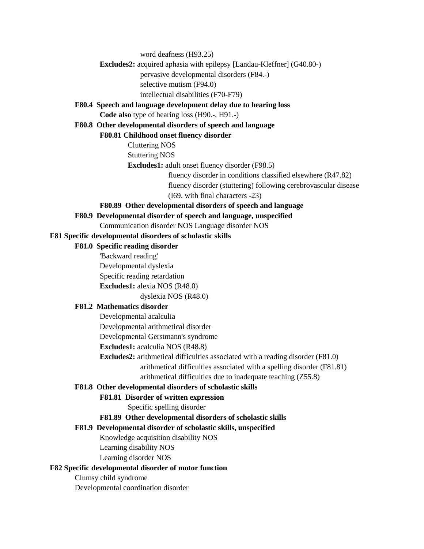word deafness (H93.25)

# **Excludes2:** acquired aphasia with epilepsy [Landau-Kleffner] (G40.80-)

pervasive developmental disorders (F84.-)

selective mutism (F94.0)

intellectual disabilities (F70-F79)

### **F80.4 Speech and language development delay due to hearing loss Code also** type of hearing loss (H90.-, H91.-)

# **F80.8 Other developmental disorders of speech and language**

**F80.81 Childhood onset fluency disorder**

Cluttering NOS

Stuttering NOS

**Excludes1:** adult onset fluency disorder (F98.5)

fluency disorder in conditions classified elsewhere (R47.82)

fluency disorder (stuttering) following cerebrovascular disease (I69. with final characters -23)

# **F80.89 Other developmental disorders of speech and language**

**F80.9 Developmental disorder of speech and language, unspecified**

# Communication disorder NOS Language disorder NOS

# **F81 Specific developmental disorders of scholastic skills**

# **F81.0 Specific reading disorder**

'Backward reading' Developmental dyslexia Specific reading retardation **Excludes1:** alexia NOS (R48.0)

dyslexia NOS (R48.0)

# **F81.2 Mathematics disorder**

Developmental acalculia

Developmental arithmetical disorder

Developmental Gerstmann's syndrome

**Excludes1:** acalculia NOS (R48.8)

**Excludes2:** arithmetical difficulties associated with a reading disorder (F81.0) arithmetical difficulties associated with a spelling disorder (F81.81)

arithmetical difficulties due to inadequate teaching (Z55.8)

# **F81.8 Other developmental disorders of scholastic skills**

# **F81.81 Disorder of written expression**

Specific spelling disorder

# **F81.89 Other developmental disorders of scholastic skills**

# **F81.9 Developmental disorder of scholastic skills, unspecified**

Knowledge acquisition disability NOS

Learning disability NOS

Learning disorder NOS

# **F82 Specific developmental disorder of motor function**

Clumsy child syndrome

Developmental coordination disorder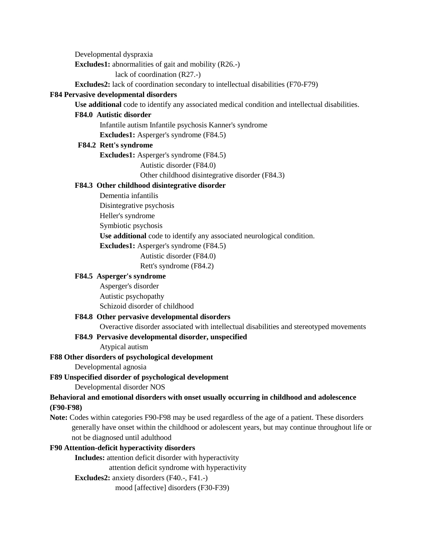Developmental dyspraxia

**Excludes1:** abnormalities of gait and mobility (R26.-)

lack of coordination (R27.-)

**Excludes2:** lack of coordination secondary to intellectual disabilities (F70-F79)

## **F84 Pervasive developmental disorders**

**Use additional** code to identify any associated medical condition and intellectual disabilities.

### **F84.0 Autistic disorder**

Infantile autism Infantile psychosis Kanner's syndrome

**Excludes1:** Asperger's syndrome (F84.5)

#### **F84.2 Rett's syndrome**

**Excludes1:** Asperger's syndrome (F84.5)

Autistic disorder (F84.0)

Other childhood disintegrative disorder (F84.3)

### **F84.3 Other childhood disintegrative disorder**

Dementia infantilis

Disintegrative psychosis

Heller's syndrome

Symbiotic psychosis

**Use additional** code to identify any associated neurological condition.

**Excludes1:** Asperger's syndrome (F84.5)

Autistic disorder (F84.0)

Rett's syndrome (F84.2)

# **F84.5 Asperger's syndrome**

Asperger's disorder Autistic psychopathy Schizoid disorder of childhood

### **F84.8 Other pervasive developmental disorders**

Overactive disorder associated with intellectual disabilities and stereotyped movements

### **F84.9 Pervasive developmental disorder, unspecified**

Atypical autism

### **F88 Other disorders of psychological development**

Developmental agnosia

# **F89 Unspecified disorder of psychological development**

Developmental disorder NOS

## **Behavioral and emotional disorders with onset usually occurring in childhood and adolescence (F90-F98)**

**Note:** Codes within categories F90-F98 may be used regardless of the age of a patient. These disorders generally have onset within the childhood or adolescent years, but may continue throughout life or not be diagnosed until adulthood

## **F90 Attention-deficit hyperactivity disorders**

**Includes:** attention deficit disorder with hyperactivity

attention deficit syndrome with hyperactivity

### **Excludes2:** anxiety disorders (F40.-, F41.-)

mood [affective] disorders (F30-F39)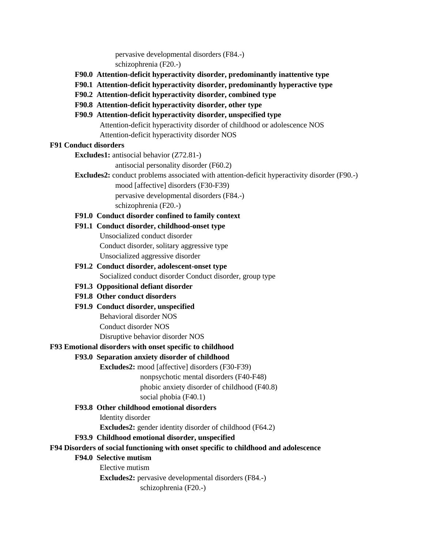pervasive developmental disorders (F84.-) schizophrenia (F20.-)

- **F90.0 Attention-deficit hyperactivity disorder, predominantly inattentive type**
- **F90.1 Attention-deficit hyperactivity disorder, predominantly hyperactive type**
- **F90.2 Attention-deficit hyperactivity disorder, combined type**
- **F90.8 Attention-deficit hyperactivity disorder, other type**
- **F90.9 Attention-deficit hyperactivity disorder, unspecified type** Attention-deficit hyperactivity disorder of childhood or adolescence NOS Attention-deficit hyperactivity disorder NOS

## **F91 Conduct disorders**

**Excludes1:** antisocial behavior (Z72.81-)

antisocial personality disorder (F60.2)

**Excludes2:** conduct problems associated with attention-deficit hyperactivity disorder (F90.-)

mood [affective] disorders (F30-F39) pervasive developmental disorders (F84.-) schizophrenia (F20.-)

- **F91.0 Conduct disorder confined to family context**
- **F91.1 Conduct disorder, childhood-onset type** Unsocialized conduct disorder Conduct disorder, solitary aggressive type Unsocialized aggressive disorder
- **F91.2 Conduct disorder, adolescent-onset type** Socialized conduct disorder Conduct disorder, group type
- **F91.3 Oppositional defiant disorder**
- **F91.8 Other conduct disorders**
- **F91.9 Conduct disorder, unspecified**

Behavioral disorder NOS

Conduct disorder NOS

Disruptive behavior disorder NOS

## **F93 Emotional disorders with onset specific to childhood**

# **F93.0 Separation anxiety disorder of childhood**

**Excludes2:** mood [affective] disorders (F30-F39)

nonpsychotic mental disorders (F40-F48)

phobic anxiety disorder of childhood (F40.8)

social phobia (F40.1)

# **F93.8 Other childhood emotional disorders**

Identity disorder

**Excludes2:** gender identity disorder of childhood (F64.2)

# **F93.9 Childhood emotional disorder, unspecified**

# **F94 Disorders of social functioning with onset specific to childhood and adolescence**

### **F94.0 Selective mutism**

Elective mutism

**Excludes2:** pervasive developmental disorders (F84.-)

schizophrenia (F20.-)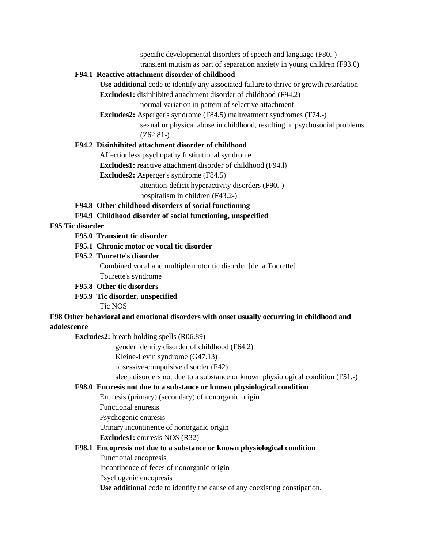specific developmental disorders of speech and language (F80.-)

transient mutism as part of separation anxiety in young children (F93.0)

# **F94.1 Reactive attachment disorder of childhood**

**Use additional** code to identify any associated failure to thrive or growth retardation

**Excludes1:** disinhibited attachment disorder of childhood (F94.2)

normal variation in pattern of selective attachment

**Excludes2:** Asperger's syndrome (F84.5) maltreatment syndromes (T74.-)

sexual or physical abuse in childhood, resulting in psychosocial problems (Z62.81-)

# **F94.2 Disinhibited attachment disorder of childhood**

Affectionless psychopathy Institutional syndrome

**Excludes1:** reactive attachment disorder of childhood (F94.1)

**Excludes2:** Asperger's syndrome (F84.5)

attention-deficit hyperactivity disorders (F90.-)

hospitalism in children (F43.2-)

**F94.8 Other childhood disorders of social functioning**

**F94.9 Childhood disorder of social functioning, unspecified**

# **F95 Tic disorder**

- **F95.0 Transient tic disorder**
- **F95.1 Chronic motor or vocal tic disorder**
- **F95.2 Tourette's disorder**

Combined vocal and multiple motor tic disorder [de la Tourette] Tourette's syndrome

- **F95.8 Other tic disorders**
- **F95.9 Tic disorder, unspecified**

Tic NOS

## **F98 Other behavioral and emotional disorders with onset usually occurring in childhood and adolescence**

**Excludes2:** breath-holding spells (R06.89)

gender identity disorder of childhood (F64.2)

Kleine-Levin syndrome (G47.13)

obsessive-compulsive disorder (F42)

sleep disorders not due to a substance or known physiological condition (F51.-)

### **F98.0 Enuresis not due to a substance or known physiological condition**

Enuresis (primary) (secondary) of nonorganic origin

Functional enuresis

Psychogenic enuresis

Urinary incontinence of nonorganic origin

**Excludes1:** enuresis NOS (R32)

**F98.1 Encopresis not due to a substance or known physiological condition**

Functional encopresis

Incontinence of feces of nonorganic origin

Psychogenic encopresis

**Use additional** code to identify the cause of any coexisting constipation.